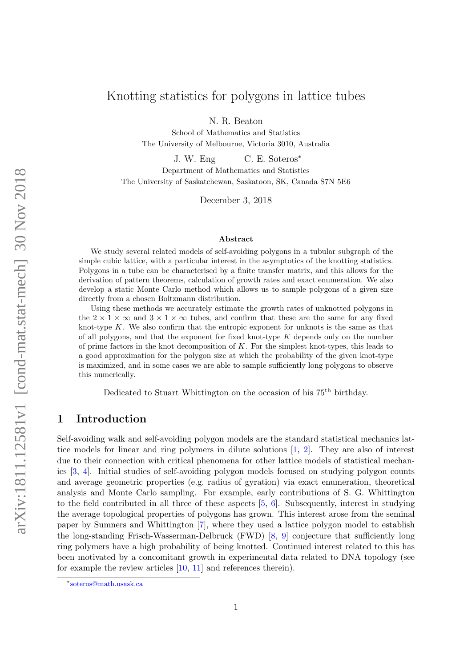# Knotting statistics for polygons in lattice tubes

N. R. Beaton

School of Mathematics and Statistics The University of Melbourne, Victoria 3010, Australia

J. W. Eng C. E. Soteros<sup>\*</sup>

Department of Mathematics and Statistics The University of Saskatchewan, Saskatoon, SK, Canada S7N 5E6

December 3, 2018

#### Abstract

We study several related models of self-avoiding polygons in a tubular subgraph of the simple cubic lattice, with a particular interest in the asymptotics of the knotting statistics. Polygons in a tube can be characterised by a finite transfer matrix, and this allows for the derivation of pattern theorems, calculation of growth rates and exact enumeration. We also develop a static Monte Carlo method which allows us to sample polygons of a given size directly from a chosen Boltzmann distribution.

Using these methods we accurately estimate the growth rates of unknotted polygons in the  $2 \times 1 \times \infty$  and  $3 \times 1 \times \infty$  tubes, and confirm that these are the same for any fixed knot-type K. We also confirm that the entropic exponent for unknots is the same as that of all polygons, and that the exponent for fixed knot-type  $K$  depends only on the number of prime factors in the knot decomposition of  $K$ . For the simplest knot-types, this leads to a good approximation for the polygon size at which the probability of the given knot-type is maximized, and in some cases we are able to sample sufficiently long polygons to observe this numerically.

Dedicated to Stuart Whittington on the occasion of his 75th birthday.

### <span id="page-0-0"></span>1 Introduction

Self-avoiding walk and self-avoiding polygon models are the standard statistical mechanics lattice models for linear and ring polymers in dilute solutions [\[1,](#page-21-0) [2\]](#page-21-1). They are also of interest due to their connection with critical phenomena for other lattice models of statistical mechanics [\[3,](#page-21-2) [4\]](#page-21-3). Initial studies of self-avoiding polygon models focused on studying polygon counts and average geometric properties (e.g. radius of gyration) via exact enumeration, theoretical analysis and Monte Carlo sampling. For example, early contributions of S. G. Whittington to the field contributed in all three of these aspects [\[5,](#page-21-4) [6\]](#page-21-5). Subsequently, interest in studying the average topological properties of polygons has grown. This interest arose from the seminal paper by Sumners and Whittington [\[7\]](#page-21-6), where they used a lattice polygon model to establish the long-standing Frisch-Wasserman-Delbruck (FWD) [\[8,](#page-21-7) [9\]](#page-21-8) conjecture that sufficiently long ring polymers have a high probability of being knotted. Continued interest related to this has been motivated by a concomitant growth in experimental data related to DNA topology (see for example the review articles [\[10,](#page-21-9) [11\]](#page-21-10) and references therein).

<sup>∗</sup> [soteros@math.usask.ca](mailto:soteros@math.usask.ca)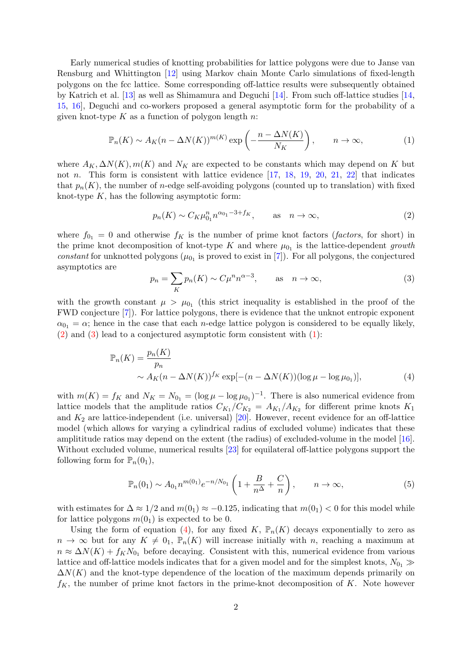Early numerical studies of knotting probabilities for lattice polygons were due to Janse van Rensburg and Whittington [\[12\]](#page-21-11) using Markov chain Monte Carlo simulations of fixed-length polygons on the fcc lattice. Some corresponding off-lattice results were subsequently obtained by Katrich et al. [\[13\]](#page-21-12) as well as Shimamura and Deguchi [\[14\]](#page-21-13). From such off-lattice studies [\[14,](#page-21-13) [15,](#page-21-14) [16\]](#page-21-15), Deguchi and co-workers proposed a general asymptotic form for the probability of a given knot-type  $K$  as a function of polygon length  $n$ :

<span id="page-1-2"></span>
$$
\mathbb{P}_n(K) \sim A_K(n - \Delta N(K))^{m(K)} \exp\left(-\frac{n - \Delta N(K)}{N_K}\right), \qquad n \to \infty,
$$
 (1)

where  $A_K, \Delta N(K), m(K)$  and  $N_K$  are expected to be constants which may depend on K but not *n*. This form is consistent with lattice evidence  $[17, 18, 19, 20, 21, 22]$  $[17, 18, 19, 20, 21, 22]$  $[17, 18, 19, 20, 21, 22]$  $[17, 18, 19, 20, 21, 22]$  $[17, 18, 19, 20, 21, 22]$  $[17, 18, 19, 20, 21, 22]$  $[17, 18, 19, 20, 21, 22]$  $[17, 18, 19, 20, 21, 22]$  $[17, 18, 19, 20, 21, 22]$  $[17, 18, 19, 20, 21, 22]$  $[17, 18, 19, 20, 21, 22]$  that indicates that  $p_n(K)$ , the number of *n*-edge self-avoiding polygons (counted up to translation) with fixed knot-type  $K$ , has the following asymptotic form:

<span id="page-1-0"></span>
$$
p_n(K) \sim C_K \mu_{0_1}^n n^{\alpha_{0_1} - 3 + f_K},
$$
 as  $n \to \infty,$  (2)

where  $f_{0_1} = 0$  and otherwise  $f_K$  is the number of prime knot factors (*factors*, for short) in the prime knot decomposition of knot-type K and where  $\mu_{0_1}$  is the lattice-dependent growth constant for unknotted polygons ( $\mu_{0_1}$  is proved to exist in [\[7\]](#page-21-6)). For all polygons, the conjectured asymptotics are

<span id="page-1-3"></span><span id="page-1-1"></span>
$$
p_n = \sum_K p_n(K) \sim C\mu^n n^{\alpha - 3}, \quad \text{as} \quad n \to \infty,
$$
 (3)

with the growth constant  $\mu > \mu_{0}$  (this strict inequality is established in the proof of the FWD conjecture [\[7\]](#page-21-6)). For lattice polygons, there is evidence that the unknot entropic exponent  $\alpha_{01} = \alpha$ ; hence in the case that each *n*-edge lattice polygon is considered to be equally likely, [\(2\)](#page-1-0) and [\(3\)](#page-1-1) lead to a conjectured asymptotic form consistent with [\(1\)](#page-1-2):

$$
\mathbb{P}_n(K) = \frac{p_n(K)}{p_n}
$$
  
 
$$
\sim A_K(n - \Delta N(K))^{f_K} \exp[-(n - \Delta N(K))(\log \mu - \log \mu_{0_1})],
$$
 (4)

with  $m(K) = f_K$  and  $N_K = N_{0_1} = (\log \mu - \log \mu_{0_1})^{-1}$ . There is also numerical evidence from lattice models that the amplitude ratios  $C_{K_1}/C_{K_2} = A_{K_1}/A_{K_2}$  for different prime knots  $K_1$ and  $K_2$  are lattice-independent (i.e. universal) [\[20\]](#page-22-2). However, recent evidence for an off-lattice model (which allows for varying a cylindrical radius of excluded volume) indicates that these amplititude ratios may depend on the extent (the radius) of excluded-volume in the model [\[16\]](#page-21-15). Without excluded volume, numerical results [\[23\]](#page-22-5) for equilateral off-lattice polygons support the following form for  $\mathbb{P}_n(0_1)$ ,

<span id="page-1-4"></span>
$$
\mathbb{P}_n(0_1) \sim A_{0_1} n^{m(0_1)} e^{-n/N_{0_1}} \left( 1 + \frac{B}{n^{\Delta}} + \frac{C}{n} \right), \qquad n \to \infty,
$$
 (5)

with estimates for  $\Delta \approx 1/2$  and  $m(0_1) \approx -0.125$ , indicating that  $m(0_1) < 0$  for this model while for lattice polygons  $m(0<sub>1</sub>)$  is expected to be 0.

Using the form of equation [\(4\)](#page-1-3), for any fixed K,  $\mathbb{P}_n(K)$  decays exponentially to zero as  $n \to \infty$  but for any  $K \neq 0_1$ ,  $\mathbb{P}_n(K)$  will increase initially with n, reaching a maximum at  $n \approx \Delta N(K) + f_K N_{0_1}$  before decaying. Consistent with this, numerical evidence from various lattice and off-lattice models indicates that for a given model and for the simplest knots,  $N_{01} \gg$  $\Delta N(K)$  and the knot-type dependence of the location of the maximum depends primarily on  $f_K$ , the number of prime knot factors in the prime-knot decomposition of K. Note however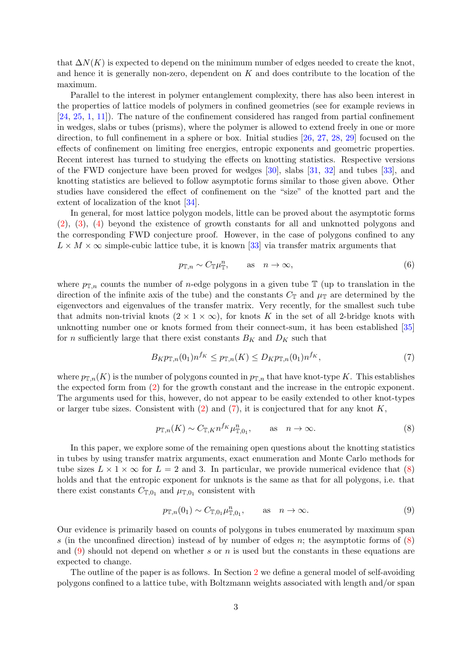that  $\Delta N(K)$  is expected to depend on the minimum number of edges needed to create the knot, and hence it is generally non-zero, dependent on  $K$  and does contribute to the location of the maximum.

Parallel to the interest in polymer entanglement complexity, there has also been interest in the properties of lattice models of polymers in confined geometries (see for example reviews in [\[24,](#page-22-6) [25,](#page-22-7) [1,](#page-21-0) [11\]](#page-21-10)). The nature of the confinement considered has ranged from partial confinement in wedges, slabs or tubes (prisms), where the polymer is allowed to extend freely in one or more direction, to full confinement in a sphere or box. Initial studies [\[26,](#page-22-8) [27,](#page-22-9) [28,](#page-22-10) [29\]](#page-22-11) focused on the effects of confinement on limiting free energies, entropic exponents and geometric properties. Recent interest has turned to studying the effects on knotting statistics. Respective versions of the FWD conjecture have been proved for wedges [\[30\]](#page-22-12), slabs [\[31,](#page-22-13) [32\]](#page-22-14) and tubes [\[33\]](#page-22-15), and knotting statistics are believed to follow asymptotic forms similar to those given above. Other studies have considered the effect of confinement on the "size" of the knotted part and the extent of localization of the knot [\[34\]](#page-22-16).

In general, for most lattice polygon models, little can be proved about the asymptotic forms [\(2\)](#page-1-0), [\(3\)](#page-1-1), [\(4\)](#page-1-3) beyond the existence of growth constants for all and unknotted polygons and the corresponding FWD conjecture proof. However, in the case of polygons confined to any  $L \times M \times \infty$  simple-cubic lattice tube, it is known [\[33\]](#page-22-15) via transfer matrix arguments that

$$
p_{\mathbb{T},n} \sim C_{\mathbb{T}} \mu_{\mathbb{T}}^n, \qquad \text{as} \quad n \to \infty,
$$
 (6)

where  $p_{\mathbb{T},n}$  counts the number of *n*-edge polygons in a given tube  $\mathbb{T}$  (up to translation in the direction of the infinite axis of the tube) and the constants  $C_{\mathbb{T}}$  and  $\mu_{\mathbb{T}}$  are determined by the eigenvectors and eigenvalues of the transfer matrix. Very recently, for the smallest such tube that admits non-trivial knots  $(2 \times 1 \times \infty)$ , for knots K in the set of all 2-bridge knots with unknotting number one or knots formed from their connect-sum, it has been established [\[35\]](#page-22-17) for *n* sufficiently large that there exist constants  $B_K$  and  $D_K$  such that

<span id="page-2-0"></span>
$$
B_K p_{\mathbb{T},n}(0_1) n^{f_K} \le p_{\mathbb{T},n}(K) \le D_K p_{\mathbb{T},n}(0_1) n^{f_K},\tag{7}
$$

where  $p_{T,n}(K)$  is the number of polygons counted in  $p_{T,n}$  that have knot-type K. This establishes the expected form from [\(2\)](#page-1-0) for the growth constant and the increase in the entropic exponent. The arguments used for this, however, do not appear to be easily extended to other knot-types or larger tube sizes. Consistent with  $(2)$  and  $(7)$ , it is conjectured that for any knot K,

<span id="page-2-1"></span>
$$
p_{\mathbb{T},n}(K) \sim C_{\mathbb{T},K} n^{f_K} \mu_{\mathbb{T},0_1}^n, \qquad \text{as} \quad n \to \infty. \tag{8}
$$

In this paper, we explore some of the remaining open questions about the knotting statistics in tubes by using transfer matrix arguments, exact enumeration and Monte Carlo methods for tube sizes  $L \times 1 \times \infty$  for  $L = 2$  and 3. In particular, we provide numerical evidence that [\(8\)](#page-2-1) holds and that the entropic exponent for unknots is the same as that for all polygons, i.e. that there exist constants  $C_{\mathbb{T},0_1}$  and  $\mu_{\mathbb{T},0_1}$  consistent with

<span id="page-2-2"></span>
$$
p_{\mathbb{T},n}(0_1) \sim C_{\mathbb{T},0_1} \mu_{\mathbb{T},0_1}^n, \qquad \text{as} \quad n \to \infty. \tag{9}
$$

Our evidence is primarily based on counts of polygons in tubes enumerated by maximum span s (in the unconfined direction) instead of by number of edges n; the asymptotic forms of  $(8)$ and [\(9\)](#page-2-2) should not depend on whether s or n is used but the constants in these equations are expected to change.

The outline of the paper is as follows. In Section [2](#page-3-0) we define a general model of self-avoiding polygons confined to a lattice tube, with Boltzmann weights associated with length and/or span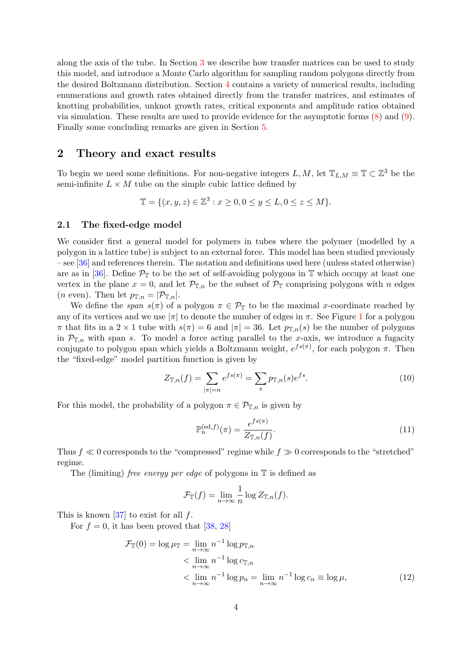along the axis of the tube. In Section [3](#page-10-0) we describe how transfer matrices can be used to study this model, and introduce a Monte Carlo algorithm for sampling random polygons directly from the desired Boltzmann distribution. Section [4](#page-14-0) contains a variety of numerical results, including enumerations and growth rates obtained directly from the transfer matrices, and estimates of knotting probabilities, unknot growth rates, critical exponents and amplitude ratios obtained via simulation. These results are used to provide evidence for the asymptotic forms [\(8\)](#page-2-1) and [\(9\)](#page-2-2). Finally some concluding remarks are given in Section [5.](#page-20-0)

### <span id="page-3-0"></span>2 Theory and exact results

To begin we need some definitions. For non-negative integers  $L, M$ , let  $\mathbb{T}_{L,M} \equiv \mathbb{T} \subset \mathbb{Z}^3$  be the semi-infinite  $L \times M$  tube on the simple cubic lattice defined by

$$
\mathbb{T} = \{(x, y, z) \in \mathbb{Z}^3 : x \ge 0, 0 \le y \le L, 0 \le z \le M\}.
$$

#### 2.1 The fixed-edge model

We consider first a general model for polymers in tubes where the polymer (modelled by a polygon in a lattice tube) is subject to an external force. This model has been studied previously – see [\[36\]](#page-22-18) and references therein. The notation and definitions used here (unless stated otherwise) are as in [\[36\]](#page-22-18). Define  $\mathcal{P}_{\mathbb{T}}$  to be the set of self-avoiding polygons in  $\mathbb{T}$  which occupy at least one vertex in the plane  $x = 0$ , and let  $\mathcal{P}_{\mathbb{T},n}$  be the subset of  $\mathcal{P}_{\mathbb{T}}$  comprising polygons with n edges (*n* even). Then let  $p_{\mathbb{T},n} = |\mathcal{P}_{\mathbb{T},n}|$ .

We define the span  $s(\pi)$  of a polygon  $\pi \in \mathcal{P}_{\mathbb{T}}$  to be the maximal x-coordinate reached by any of its vertices and we use  $|\pi|$  to denote the number of edges in  $\pi$ . See Figure [1](#page-4-0) for a polygon  $\pi$  that fits in a 2 × 1 tube with  $s(\pi) = 6$  and  $|\pi| = 36$ . Let  $p_{\mathbb{T},n}(s)$  be the number of polygons in  $\mathcal{P}_{\mathbb{T},n}$  with span s. To model a force acting parallel to the x-axis, we introduce a fugacity conjugate to polygon span which yields a Boltzmann weight,  $e^{fs(\pi)}$ , for each polygon  $\pi$ . Then the "fixed-edge" model partition function is given by

$$
Z_{\mathbb{T},n}(f) = \sum_{|\pi|=n} e^{fs(\pi)} = \sum_{s} p_{\mathbb{T},n}(s) e^{fs}.
$$
 (10)

For this model, the probability of a polygon  $\pi \in \mathcal{P}_{\mathbb{T},n}$  is given by

$$
\mathbb{P}_n^{(\text{ed},f)}(\pi) = \frac{e^{fs(\pi)}}{Z_{\mathbb{T},n}(f)}.\tag{11}
$$

Thus  $f \ll 0$  corresponds to the "compressed" regime while  $f \gg 0$  corresponds to the "stretched" regime.

The (limiting) *free energy per edge* of polygons in  $\mathbb{T}$  is defined as

$$
\mathcal{F}_{\mathbb{T}}(f) = \lim_{n \to \infty} \frac{1}{n} \log Z_{\mathbb{T},n}(f).
$$

This is known  $[37]$  to exist for all f.

For  $f = 0$ , it has been proved that [\[38,](#page-23-1) [28\]](#page-22-10)

$$
\mathcal{F}_{\mathbb{T}}(0) = \log \mu_{\mathbb{T}} = \lim_{n \to \infty} n^{-1} \log p_{\mathbb{T}, n}
$$
  

$$
< \lim_{n \to \infty} n^{-1} \log c_{\mathbb{T}, n}
$$
  

$$
< \lim_{n \to \infty} n^{-1} \log p_n = \lim_{n \to \infty} n^{-1} \log c_n \equiv \log \mu,
$$
 (12)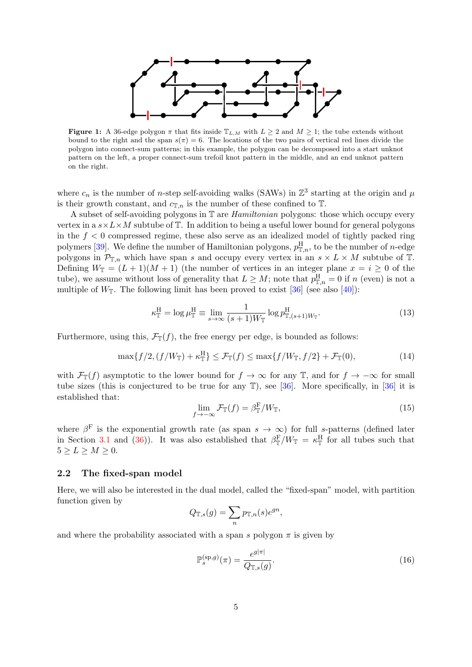<span id="page-4-0"></span>

**Figure 1:** A 36-edge polygon  $\pi$  that fits inside  $\mathbb{T}_{L,M}$  with  $L \geq 2$  and  $M \geq 1$ ; the tube extends without bound to the right and the span  $s(\pi) = 6$ . The locations of the two pairs of vertical red lines divide the polygon into connect-sum patterns; in this example, the polygon can be decomposed into a start unknot pattern on the left, a proper connect-sum trefoil knot pattern in the middle, and an end unknot pattern on the right.

where  $c_n$  is the number of *n*-step self-avoiding walks (SAWs) in  $\mathbb{Z}^3$  starting at the origin and  $\mu$ is their growth constant, and  $c_{\mathbb{T},n}$  is the number of these confined to  $\mathbb{T}$ .

A subset of self-avoiding polygons in T are Hamiltonian polygons: those which occupy every vertex in a  $s \times L \times M$  subtube of  $T$ . In addition to being a useful lower bound for general polygons in the  $f < 0$  compressed regime, these also serve as an idealized model of tightly packed ring polymers [\[39\]](#page-23-2). We define the number of Hamiltonian polygons,  $p_{\mathbb{T},n}^{\rm H}$ , to be the number of *n*-edge polygons in  $\mathcal{P}_{\mathbb{T},n}$  which have span s and occupy every vertex in an  $s \times L \times M$  subtube of  $\mathbb{T}$ . Defining  $W_{\mathbb{T}} = (L+1)(M+1)$  (the number of vertices in an integer plane  $x = i \geq 0$  of the tube), we assume without loss of generality that  $L \geq M$ ; note that  $p_{\mathbb{T},n}^{\text{H}} = 0$  if n (even) is not a multiple of  $W_{\mathbb{T}}$ . The following limit has been proved to exist [\[36\]](#page-22-18) (see also [\[40\]](#page-23-3)):

$$
\kappa_{\mathbb{T}}^{\mathcal{H}} = \log \mu_{\mathbb{T}}^{\mathcal{H}} \equiv \lim_{s \to \infty} \frac{1}{(s+1)W_{\mathbb{T}}} \log p_{\mathbb{T}, (s+1)W_{\mathbb{T}}}^{\mathcal{H}}.
$$
 (13)

Furthermore, using this,  $\mathcal{F}_{\mathbb{T}}(f)$ , the free energy per edge, is bounded as follows:

$$
\max\{f/2, (f/W_{\mathbb{T}}) + \kappa_{\mathbb{T}}^{\mathcal{H}}\} \leq \mathcal{F}_{\mathbb{T}}(f) \leq \max\{f/W_{\mathbb{T}}, f/2\} + \mathcal{F}_{\mathbb{T}}(0),\tag{14}
$$

with  $\mathcal{F}_{\mathbb{T}}(f)$  asymptotic to the lower bound for  $f \to \infty$  for any  $\mathbb{T}$ , and for  $f \to -\infty$  for small tube sizes (this is conjectured to be true for any T), see [\[36\]](#page-22-18). More specifically, in [\[36\]](#page-22-18) it is established that:

$$
\lim_{f \to -\infty} \mathcal{F}_{\mathbb{T}}(f) = \beta_{\mathbb{T}}^{\mathcal{F}} / W_{\mathbb{T}},\tag{15}
$$

where  $\beta^{\text{F}}$  is the exponential growth rate (as span  $s \to \infty$ ) for full s-patterns (defined later in Section [3.1](#page-10-1) and [\(36\)](#page-11-0)). It was also established that  $\beta_{\mathbb{T}}^F/W_{\mathbb{T}} = \kappa_{\mathbb{T}}^H$  for all tubes such that  $5 \ge L \ge M \ge 0$ .

#### <span id="page-4-1"></span>2.2 The fixed-span model

Here, we will also be interested in the dual model, called the "fixed-span" model, with partition function given by

$$
Q_{\mathbb{T},s}(g) = \sum_{n} p_{\mathbb{T},n}(s)e^{gn},
$$

and where the probability associated with a span s polygon  $\pi$  is given by

$$
\mathbb{P}_s^{(\text{sp},g)}(\pi) = \frac{e^{g|\pi|}}{Q_{\mathbb{T},s}(g)}.\tag{16}
$$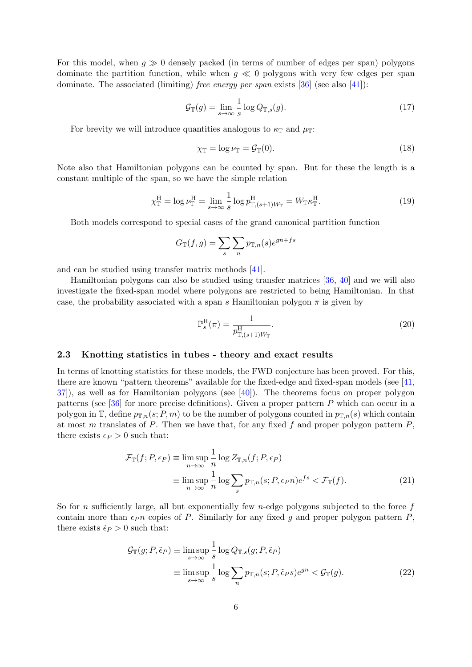For this model, when  $g \gg 0$  densely packed (in terms of number of edges per span) polygons dominate the partition function, while when  $g \ll 0$  polygons with very few edges per span dominate. The associated (limiting) free energy per span exists  $[36]$  (see also [\[41\]](#page-23-4)):

$$
\mathcal{G}_{\mathbb{T}}(g) = \lim_{s \to \infty} \frac{1}{s} \log Q_{\mathbb{T},s}(g). \tag{17}
$$

For brevity we will introduce quantities analogous to  $\kappa_{\mathbb{T}}$  and  $\mu_{\mathbb{T}}$ :

$$
\chi_{\mathbb{T}} = \log \nu_{\mathbb{T}} = \mathcal{G}_{\mathbb{T}}(0). \tag{18}
$$

Note also that Hamiltonian polygons can be counted by span. But for these the length is a constant multiple of the span, so we have the simple relation

<span id="page-5-1"></span>
$$
\chi_{\mathbb{T}}^{\mathcal{H}} = \log \nu_{\mathbb{T}}^{\mathcal{H}} = \lim_{s \to \infty} \frac{1}{s} \log p_{\mathbb{T}, (s+1)W_{\mathbb{T}}}^{\mathcal{H}} = W_{\mathbb{T}} \kappa_{\mathbb{T}}^{\mathcal{H}}.
$$
\n(19)

Both models correspond to special cases of the grand canonical partition function

$$
G_{\mathbb{T}}(f,g) = \sum_{s} \sum_{n} p_{\mathbb{T},n}(s) e^{gn + fs}
$$

and can be studied using transfer matrix methods [\[41\]](#page-23-4).

Hamiltonian polygons can also be studied using transfer matrices [\[36,](#page-22-18) [40\]](#page-23-3) and we will also investigate the fixed-span model where polygons are restricted to being Hamiltonian. In that case, the probability associated with a span s Hamiltonian polygon  $\pi$  is given by

<span id="page-5-0"></span>
$$
\mathbb{P}_s^{\mathcal{H}}(\pi) = \frac{1}{p_{\mathbb{T},(s+1)W_{\mathbb{T}}}}.
$$
\n(20)

### 2.3 Knotting statistics in tubes - theory and exact results

In terms of knotting statistics for these models, the FWD conjecture has been proved. For this, there are known "pattern theorems" available for the fixed-edge and fixed-span models (see [\[41,](#page-23-4) [37\]](#page-23-0)), as well as for Hamiltonian polygons (see [\[40\]](#page-23-3)). The theorems focus on proper polygon patterns (see  $[36]$  for more precise definitions). Given a proper pattern P which can occur in a polygon in T, define  $p_{\mathbb{T},n}(s; P, m)$  to be the number of polygons counted in  $p_{\mathbb{T},n}(s)$  which contain at most m translates of P. Then we have that, for any fixed f and proper polygon pattern  $P$ , there exists  $\epsilon_P > 0$  such that:

$$
\mathcal{F}_{\mathbb{T}}(f; P, \epsilon_P) \equiv \limsup_{n \to \infty} \frac{1}{n} \log Z_{\mathbb{T}, n}(f; P, \epsilon_P)
$$

$$
\equiv \limsup_{n \to \infty} \frac{1}{n} \log \sum_{s} p_{\mathbb{T}, n}(s; P, \epsilon_P n) e^{fs} < \mathcal{F}_{\mathbb{T}}(f). \tag{21}
$$

So for n sufficiently large, all but exponentially few n-edge polygons subjected to the force  $f$ contain more than  $\epsilon_{P}n$  copies of P. Similarly for any fixed q and proper polygon pattern P, there exists  $\tilde{\epsilon}_P > 0$  such that:

$$
\mathcal{G}_{\mathbb{T}}(g; P, \tilde{\epsilon}_P) \equiv \limsup_{s \to \infty} \frac{1}{s} \log Q_{\mathbb{T}, s}(g; P, \tilde{\epsilon}_P)
$$
  

$$
\equiv \limsup_{s \to \infty} \frac{1}{s} \log \sum_{n} p_{\mathbb{T}, n}(s; P, \tilde{\epsilon}_P s) e^{gn} < \mathcal{G}_{\mathbb{T}}(g). \tag{22}
$$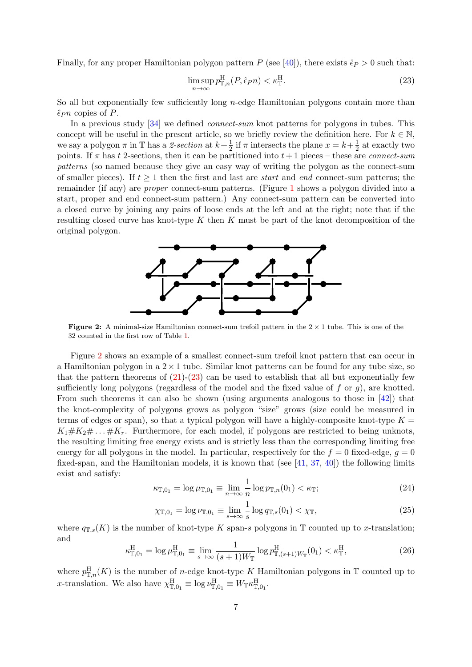Finally, for any proper Hamiltonian polygon pattern P (see [\[40\]](#page-23-3)), there exists  $\hat{\epsilon}_P > 0$  such that:

<span id="page-6-1"></span>
$$
\limsup_{n \to \infty} p_{\mathbb{T},n}^{\mathcal{H}}(P, \hat{\epsilon}_{P}n) < \kappa_{\mathbb{T}}^{\mathcal{H}}.\tag{23}
$$

So all but exponentially few sufficiently long  $n$ -edge Hamiltonian polygons contain more than  $\hat{\epsilon}_P n$  copies of P.

In a previous study [\[34\]](#page-22-16) we defined *connect-sum* knot patterns for polygons in tubes. This concept will be useful in the present article, so we briefly review the definition here. For  $k \in \mathbb{N}$ , we say a polygon  $\pi$  in T has a 2-section at  $k+\frac{1}{2}$  $\frac{1}{2}$  if  $\pi$  intersects the plane  $x = k + \frac{1}{2}$  $\frac{1}{2}$  at exactly two points. If  $\pi$  has t 2-sections, then it can be partitioned into  $t+1$  pieces – these are *connect-sum* patterns (so named because they give an easy way of writing the polygon as the connect-sum of smaller pieces). If  $t \geq 1$  then the first and last are *start* and *end* connect-sum patterns; the remainder (if any) are proper connect-sum patterns. (Figure [1](#page-4-0) shows a polygon divided into a start, proper and end connect-sum pattern.) Any connect-sum pattern can be converted into a closed curve by joining any pairs of loose ends at the left and at the right; note that if the resulting closed curve has knot-type  $K$  then  $K$  must be part of the knot decomposition of the original polygon.

<span id="page-6-0"></span>

**Figure 2:** A minimal-size Hamiltonian connect-sum trefoil pattern in the  $2 \times 1$  tube. This is one of the 32 counted in the first row of Table [1.](#page-7-0)

Figure [2](#page-6-0) shows an example of a smallest connect-sum trefoil knot pattern that can occur in a Hamiltonian polygon in a  $2 \times 1$  tube. Similar knot patterns can be found for any tube size, so that the pattern theorems of  $(21)-(23)$  $(21)-(23)$  $(21)-(23)$  can be used to establish that all but exponentially few sufficiently long polygons (regardless of the model and the fixed value of f or  $q$ ), are knotted. From such theorems it can also be shown (using arguments analogous to those in [\[42\]](#page-23-5)) that the knot-complexity of polygons grows as polygon "size" grows (size could be measured in terms of edges or span), so that a typical polygon will have a highly-composite knot-type  $K =$  $K_1 \# K_2 \# \ldots \# K_r$ . Furthermore, for each model, if polygons are restricted to being unknots, the resulting limiting free energy exists and is strictly less than the corresponding limiting free energy for all polygons in the model. In particular, respectively for the  $f = 0$  fixed-edge,  $q = 0$ fixed-span, and the Hamiltonian models, it is known that (see [\[41,](#page-23-4) [37,](#page-23-0) [40\]](#page-23-3)) the following limits exist and satisfy:

$$
\kappa_{\mathbb{T},0_1} = \log \mu_{\mathbb{T},0_1} \equiv \lim_{n \to \infty} \frac{1}{n} \log p_{\mathbb{T},n}(0_1) < \kappa_{\mathbb{T}};\tag{24}
$$

$$
\chi_{\mathbb{T},0_1} = \log \nu_{\mathbb{T},0_1} \equiv \lim_{s \to \infty} \frac{1}{s} \log q_{\mathbb{T},s}(0_1) < \chi_{\mathbb{T}},\tag{25}
$$

where  $q_{\mathbb{T},s}(K)$  is the number of knot-type K span-s polygons in  $\mathbb{T}$  counted up to x-translation; and

$$
\kappa_{\mathbb{T},0_1}^{\mathcal{H}} = \log \mu_{\mathbb{T},0_1}^{\mathcal{H}} \equiv \lim_{s \to \infty} \frac{1}{(s+1)W_{\mathbb{T}}} \log p_{\mathbb{T},(s+1)W_{\mathbb{T}}}^{\mathcal{H}}(0_1) < \kappa_{\mathbb{T}}^{\mathcal{H}},\tag{26}
$$

where  $p_{\mathbb{T},n}^{\text{H}}(K)$  is the number of *n*-edge knot-type K Hamiltonian polygons in T counted up to x-translation. We also have  $\chi_{\mathbb{T},0_1}^{\text{H}} \equiv \log \nu_{\mathbb{T},0_1}^{\text{H}} \equiv W_{\mathbb{T}} \kappa_{\mathbb{T},0_1}^{\text{H}}$ .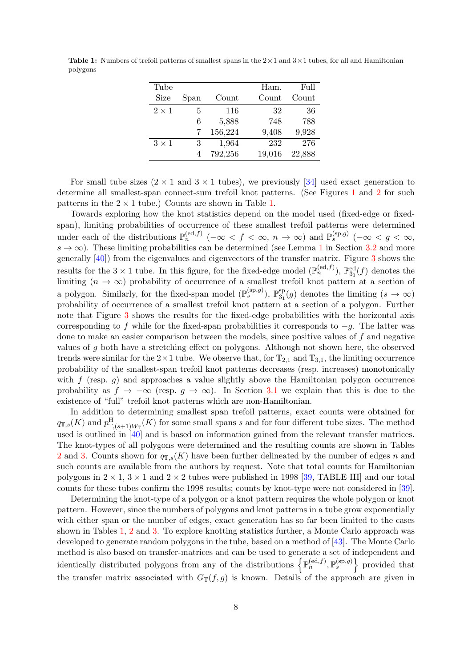<span id="page-7-0"></span>**Table 1:** Numbers of trefoil patterns of smallest spans in the  $2 \times 1$  and  $3 \times 1$  tubes, for all and Hamiltonian polygons

| Tube         |      |         | Ham.   | Full   |
|--------------|------|---------|--------|--------|
| Size         | Span | Count   | Count  | Count  |
| $2 \times 1$ | 5    | 116     | 32     | 36     |
|              | 6    | 5,888   | 748    | 788    |
|              |      | 156,224 | 9,408  | 9,928  |
| $3 \times 1$ | 3    | 1,964   | 232    | 276    |
|              | 4    | 792,256 | 19,016 | 22,888 |

For small tube sizes  $(2 \times 1$  and  $3 \times 1$  tubes), we previously [\[34\]](#page-22-16) used exact generation to determine all smallest-span connect-sum trefoil knot patterns. (See Figures [1](#page-4-0) and [2](#page-6-0) for such patterns in the  $2 \times 1$  tube.) Counts are shown in Table [1.](#page-7-0)

Towards exploring how the knot statistics depend on the model used (fixed-edge or fixedspan), limiting probabilities of occurrence of these smallest trefoil patterns were determined under each of the distributions  $\mathbb{P}_n^{(\text{ed},f)}$  ( $-\infty < f < \infty$ ,  $n \to \infty$ ) and  $\mathbb{P}_s^{(\text{sp},g)}$  ( $-\infty < g < \infty$ ,  $s \to \infty$ ). These limiting probabilities can be determined (see Lemma [1](#page-12-0) in Section [3.2](#page-12-1) and more generally [\[40\]](#page-23-3)) from the eigenvalues and eigenvectors of the transfer matrix. Figure [3](#page-8-0) shows the results for the  $3 \times 1$  tube. In this figure, for the fixed-edge model  $(\mathbb{P}_n^{(ed,f)})$ ,  $\mathbb{P}_{3_1}^{ed}(f)$  denotes the limiting  $(n \to \infty)$  probability of occurrence of a smallest trefoil knot pattern at a section of a polygon. Similarly, for the fixed-span model  $(\mathbb{P}_s^{(\text{sp},g)})$ ,  $\mathbb{P}_{3_1}^{sp}$  $3_1^{\text{sp}}(g)$  denotes the limiting  $(s \to \infty)$ probability of occurrence of a smallest trefoil knot pattern at a section of a polygon. Further note that Figure [3](#page-8-0) shows the results for the fixed-edge probabilities with the horizontal axis corresponding to f while for the fixed-span probabilities it corresponds to  $-g$ . The latter was done to make an easier comparison between the models, since positive values of f and negative values of g both have a stretching effect on polygons. Although not shown here, the observed trends were similar for the  $2 \times 1$  tube. We observe that, for  $\mathbb{T}_{2,1}$  and  $\mathbb{T}_{3,1}$ , the limiting occurrence probability of the smallest-span trefoil knot patterns decreases (resp. increases) monotonically with  $f$  (resp. q) and approaches a value slightly above the Hamiltonian polygon occurrence probability as  $f \to -\infty$  (resp.  $g \to \infty$ ). In Section [3.1](#page-10-1) we explain that this is due to the existence of "full" trefoil knot patterns which are non-Hamiltonian.

In addition to determining smallest span trefoil patterns, exact counts were obtained for  $q_{\mathbb{T},s}(K)$  and  $p_{\mathbb{T},(s+1)W_{\mathbb{T}}}(K)$  for some small spans s and for four different tube sizes. The method used is outlined in [\[40\]](#page-23-3) and is based on information gained from the relevant transfer matrices. The knot-types of all polygons were determined and the resulting counts are shown in Tables [2](#page-8-1) and [3.](#page-9-0) Counts shown for  $q_{\mathbb{Z},s}(K)$  have been further delineated by the number of edges n and such counts are available from the authors by request. Note that total counts for Hamiltonian polygons in  $2 \times 1$ ,  $3 \times 1$  and  $2 \times 2$  tubes were published in 1998 [\[39,](#page-23-2) TABLE III] and our total counts for these tubes confirm the 1998 results; counts by knot-type were not considered in [\[39\]](#page-23-2).

Determining the knot-type of a polygon or a knot pattern requires the whole polygon or knot pattern. However, since the numbers of polygons and knot patterns in a tube grow exponentially with either span or the number of edges, exact generation has so far been limited to the cases shown in Tables [1,](#page-7-0) [2](#page-8-1) and [3.](#page-9-0) To explore knotting statistics further, a Monte Carlo approach was developed to generate random polygons in the tube, based on a method of [\[43\]](#page-23-6). The Monte Carlo method is also based on transfer-matrices and can be used to generate a set of independent and identically distributed polygons from any of the distributions  $\left\{\mathbb{P}_n^{(ed,f)},\mathbb{P}_s^{(sp,g)}\right\}$  provided that the transfer matrix associated with  $G_T(f, g)$  is known. Details of the approach are given in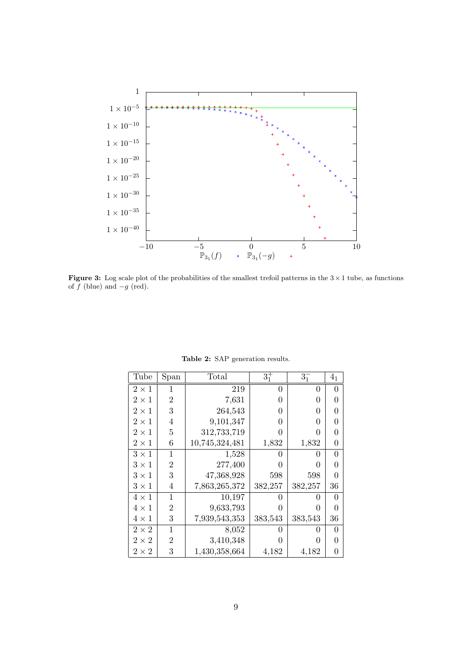<span id="page-8-0"></span>

Figure 3: Log scale plot of the probabilities of the smallest trefoil patterns in the  $3 \times 1$  tube, as functions of  $f$  (blue) and  $-g$  (red).

<span id="page-8-1"></span>

| Tube         | Span           | Total          | $3^{+}_{1}$  | $3^{-}_{1}$  | 4 <sub>1</sub> |
|--------------|----------------|----------------|--------------|--------------|----------------|
| $2\times1$   | 1              | 219            | 0            | 0            | 0              |
| $2 \times 1$ | $\overline{2}$ | 7,631          | 0            | 0            | O              |
| $2 \times 1$ | 3              | 264,543        | 0            | 0            | 0              |
| $2 \times 1$ | 4              | 9,101,347      | 0            | 0            | O              |
| $2 \times 1$ | 5              | 312,733,719    | ∩            | 0            | O              |
| $2\times1$   | 6              | 10,745,324,481 | 1,832        | 1,832        | 0              |
| $3\times1$   | 1              | 1,528          |              | $\mathbf{0}$ | 0              |
| $3 \times 1$ | $\overline{2}$ | 277,400        | O            | 0            | 0              |
| $3\times1$   | 3              | 47,368,928     | 598          | 598          | O              |
| $3 \times 1$ | 4              | 7,863,265,372  | 382,257      | 382,257      | 36             |
| $4 \times 1$ | 1              | 10,197         | O            | 0            | $\Omega$       |
| $4 \times 1$ | $\overline{2}$ | 9,633,793      | O            | 0            | O              |
| $4\times1$   | 3              | 7,939,543,353  | 383,543      | 383,543      | 36             |
| $2\times 2$  | $\mathbf{1}$   | 8,052          | $^{(1)}$     | $\theta$     | 0              |
| $2\times 2$  | $\overline{2}$ | 3,410,348      | $\mathbf{0}$ | 0            | 0              |
| $2\times 2$  | 3              | 1,430,358,664  | 4,182        | 4,182        | 0              |

Table 2: SAP generation results.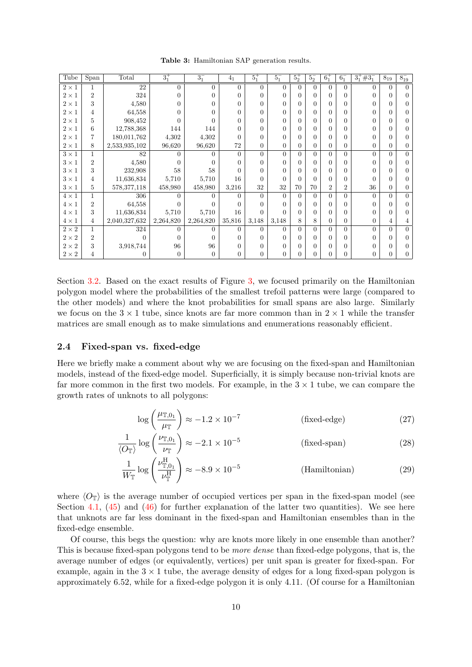<span id="page-9-0"></span>Tube Span Total  $3^{+}_{1}$  $\frac{1}{1}$  3  $3^{-}_{1}$  $\frac{1}{1}$  4<sub>1</sub> 5  $5.7$  $\frac{1}{1}$  5<sup>-</sup>  $\frac{1}{1}$   $5^{+}_{2}$  $\frac{+}{2}$  5<sup>-</sup>  $\frac{1}{2}$  6<sup>+</sup>  $\frac{+}{1}$  6<sup>-</sup>  $\frac{1}{1}$  3<sup>+</sup>#3<sup>-</sup>  $8_{19}$ − 19  $2 \times 1$  1 22 0 0 0 0 0 0 0 0 0 0 0 0 0  $2 \times 1$  2 324 0 0 0 0 0 0 0 0 0 0 0 0 0  $2 \times 1$  3 4,580 0 0 0 0 0 0 0 0 0 0 0 0 0  $2 \times 1$  4 64,558 0 0 0 0 0 0 0 0 0 0 0 0 0  $2 \times 1$  5 908,452 0 0 0 0 0 0 0 0 0 0 0 0 0  $2 \times 1$  6 12,788,368 144 144 0 0 0 0 0 0 0 0 0 0 0 2 × 1 7 180,011,762 4,302 4,302 0 0 0 0 0 0 0 0 0 0  $2 \times 1$  8 2,533,935,102 96,620 96,620 72 0 0 0 0 0 0 0 0 0 0  $3 \times 1$  1 82 0 0 0 0 0 0 0 0 0 0 0 0 0  $3 \times 1$  2 4,580 0 0 0 0 0 0 0 0 0 0 0 0 0 3 × 1 3 232,908 58 58 0 0 0 0 0 0 0 0 0 0 3 × 1 4 11,636,834 5,710 5,710 16 0 0 0 0 0 0 0 0 0 3 × 1 5 578,377,118 458,980 458,980 3,216 32 32 70 70 2 2 36 0 0  $4 \times 1$  1 306 0 0 0 0 0 0 0 0 0 0 0 0 0  $4 \times 1$  2 64,558 0 0 0 0 0 0 0 0 0 0 0 0 0  $4 \times 1$  3 | 11,636,834 | 5,710 | 5,710 | 16 | 0 | 0 | 0 | 0 | 0 | 0 | 0 | 0 | 0  $4 \times 1$  4 2,040,327,632 2,264,820 2,264,820 35,816 3,148 3,148 8 8 0 0 1 4 4  $2 \times 2$  1 324 0 0 0 0 0 0 0 0 0 0 0 0 0  $2 \times 2$  2 0 0 0 0 0 0 0 0 0 0 0 0 0 0 0  $2\times 2$  3 3,918,744 96 96 0 0 0 0 0 0 0 0 0 0 0  $2 \times 2$  4 0 0 0 0 0 0 0 0 0 0 0 0 0 0 0

Table 3: Hamiltonian SAP generation results.

Section [3.2.](#page-12-1) Based on the exact results of Figure [3,](#page-8-0) we focused primarily on the Hamiltonian polygon model where the probabilities of the smallest trefoil patterns were large (compared to the other models) and where the knot probabilities for small spans are also large. Similarly we focus on the  $3 \times 1$  tube, since knots are far more common than in  $2 \times 1$  while the transfer matrices are small enough as to make simulations and enumerations reasonably efficient.

### 2.4 Fixed-span vs. fixed-edge

Here we briefly make a comment about why we are focusing on the fixed-span and Hamiltonian models, instead of the fixed-edge model. Superficially, it is simply because non-trivial knots are far more common in the first two models. For example, in the  $3 \times 1$  tube, we can compare the growth rates of unknots to all polygons:

$$
\log\left(\frac{\mu_{\mathbb{T},0_1}}{\mu_{\mathbb{T}}}\right) \approx -1.2 \times 10^{-7}
$$
 (fixed-edge) (27)

$$
\frac{1}{\langle O_{\mathbb{T}}\rangle} \log \left(\frac{\nu_{\mathbb{T},0_1}}{\nu_{\mathbb{T}}}\right) \approx -2.1 \times 10^{-5}
$$
 (fixed-span) (28)

$$
\frac{1}{W_{\mathbb{T}}} \log \left( \frac{\nu_{\mathbb{T},0_1}^{\mathcal{H}}}{\nu_{\mathbb{T}}^{\mathcal{H}}} \right) \approx -8.9 \times 10^{-5}
$$
 (Hamiltonian) (29)

where  $\langle O_{\mathbb{T}}\rangle$  is the average number of occupied vertices per span in the fixed-span model (see Section [4.1,](#page-14-1)  $(45)$  and  $(46)$  for further explanation of the latter two quantities). We see here that unknots are far less dominant in the fixed-span and Hamiltonian ensembles than in the fixed-edge ensemble.

Of course, this begs the question: why are knots more likely in one ensemble than another? This is because fixed-span polygons tend to be *more dense* than fixed-edge polygons, that is, the average number of edges (or equivalently, vertices) per unit span is greater for fixed-span. For example, again in the  $3 \times 1$  tube, the average density of edges for a long fixed-span polygon is approximately 6.52, while for a fixed-edge polygon it is only 4.11. (Of course for a Hamiltonian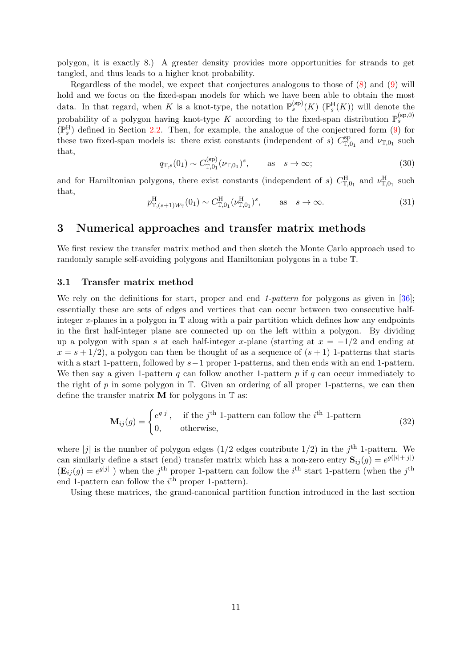polygon, it is exactly 8.) A greater density provides more opportunities for strands to get tangled, and thus leads to a higher knot probability.

Regardless of the model, we expect that conjectures analogous to those of [\(8\)](#page-2-1) and [\(9\)](#page-2-2) will hold and we focus on the fixed-span models for which we have been able to obtain the most data. In that regard, when K is a knot-type, the notation  $\mathbb{P}_s^{(\text{sp})}(K)$  ( $\mathbb{P}_s^{\text{H}}(K)$ ) will denote the probability of a polygon having knot-type K according to the fixed-span distribution  $\mathbb{P}_s^{(\text{sp},0)}$  $(\mathbb{P}_s^H)$  defined in Section [2.2.](#page-4-1) Then, for example, the analogue of the conjectured form [\(9\)](#page-2-2) for these two fixed-span models is: there exist constants (independent of s)  $C_{\mathbb{L}}^{\text{sp}}$  $T_{\mathbb{T},0_1}^{\text{sp}}$  and  $\nu_{\mathbb{T},0_1}$  such that,  $($ 

<span id="page-10-3"></span>
$$
q_{\mathbb{T},s}(0_1) \sim C_{\mathbb{T},0_1}^{(\text{sp})}(\nu_{\mathbb{T},0_1})^s
$$
, as  $s \to \infty$ ; (30)

and for Hamiltonian polygons, there exist constants (independent of s)  $C_{\mathbb{T},0_1}^{\text{H}}$  and  $\nu_{\mathbb{T},0_1}^{\text{H}}$  such that,

<span id="page-10-2"></span>
$$
p_{\mathbb{T},(s+1)W_{\mathbb{T}}}^{\mathcal{H}}(0_1) \sim C_{\mathbb{T},0_1}^{\mathcal{H}}(\nu_{\mathbb{T},0_1}^{\mathcal{H}})^s, \qquad \text{as} \quad s \to \infty.
$$
 (31)

### <span id="page-10-0"></span>3 Numerical approaches and transfer matrix methods

We first review the transfer matrix method and then sketch the Monte Carlo approach used to randomly sample self-avoiding polygons and Hamiltonian polygons in a tube T.

#### <span id="page-10-1"></span>3.1 Transfer matrix method

We rely on the definitions for start, proper and end 1-pattern for polygons as given in [\[36\]](#page-22-18); essentially these are sets of edges and vertices that can occur between two consecutive halfinteger x-planes in a polygon in T along with a pair partition which defines how any endpoints in the first half-integer plane are connected up on the left within a polygon. By dividing up a polygon with span s at each half-integer x-plane (starting at  $x = -1/2$  and ending at  $x = s + 1/2$ , a polygon can then be thought of as a sequence of  $(s + 1)$  1-patterns that starts with a start 1-pattern, followed by  $s-1$  proper 1-patterns, and then ends with an end 1-pattern. We then say a given 1-pattern q can follow another 1-pattern  $p$  if  $q$  can occur immediately to the right of  $p$  in some polygon in  $T$ . Given an ordering of all proper 1-patterns, we can then define the transfer matrix  $M$  for polygons in  $T$  as:

$$
\mathbf{M}_{ij}(g) = \begin{cases} e^{g|j|}, & \text{if the } j^{\text{th}} \text{ 1-pattern can follow the } i^{\text{th}} \text{ 1-pattern} \\ 0, & \text{otherwise,} \end{cases}
$$
(32)

where |j| is the number of polygon edges  $(1/2)$  edges contribute  $1/2$ ) in the j<sup>th</sup> 1-pattern. We can similarly define a start (end) transfer matrix which has a non-zero entry  $S_{ij}(g) = e^{g(|i|+|j|)}$  $(\mathbf{E}_{ij}(g) = e^{g|j|})$  when the j<sup>th</sup> proper 1-pattern can follow the i<sup>th</sup> start 1-pattern (when the j<sup>th</sup>) end 1-pattern can follow the  $i<sup>th</sup>$  proper 1-pattern).

Using these matrices, the grand-canonical partition function introduced in the last section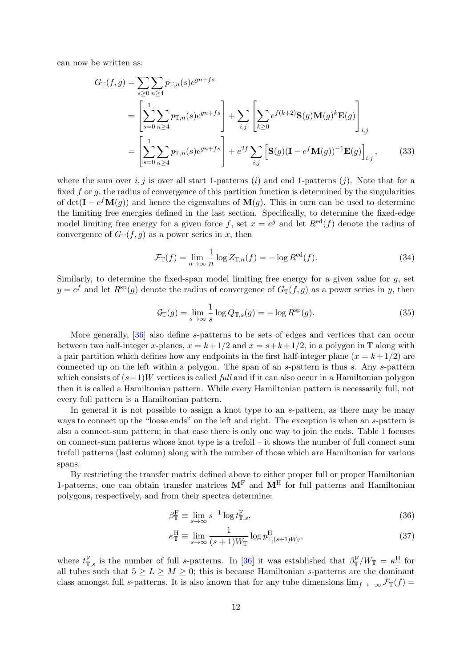can now be written as:

$$
G_{\mathbb{T}}(f,g) = \sum_{s\geq 0} \sum_{n\geq 4} p_{\mathbb{T},n}(s)e^{gn+fs}
$$
  
= 
$$
\left[\sum_{s=0}^{1} \sum_{n\geq 4} p_{\mathbb{T},n}(s)e^{gn+fs}\right] + \sum_{i,j} \left[\sum_{k\geq 0} e^{f(k+2)}\mathbf{S}(g)\mathbf{M}(g)^{k}\mathbf{E}(g)\right]_{i,j}
$$
  
= 
$$
\left[\sum_{s=0}^{1} \sum_{n\geq 4} p_{\mathbb{T},n}(s)e^{gn+fs}\right] + e^{2f} \sum_{i,j} \left[\mathbf{S}(g)(\mathbf{I} - e^{f}\mathbf{M}(g))^{-1}\mathbf{E}(g)\right]_{i,j},
$$
(33)

where the sum over  $i, j$  is over all start 1-patterns  $(i)$  and end 1-patterns  $(j)$ . Note that for a fixed  $f$  or  $g$ , the radius of convergence of this partition function is determined by the singularities of  $\det(\mathbf{I} - e^f \mathbf{M}(g))$  and hence the eigenvalues of  $\mathbf{M}(g)$ . This in turn can be used to determine the limiting free energies defined in the last section. Specifically, to determine the fixed-edge model limiting free energy for a given force f, set  $x = e^g$  and let  $R^{ed}(f)$  denote the radius of convergence of  $G_{\mathbb{T}}(f,g)$  as a power series in x, then

<span id="page-11-1"></span>
$$
\mathcal{F}_{\mathbb{T}}(f) = \lim_{n \to \infty} \frac{1}{n} \log Z_{\mathbb{T},n}(f) = -\log R^{\text{ed}}(f). \tag{34}
$$

Similarly, to determine the fixed-span model limiting free energy for a given value for  $g$ , set  $y = e^f$  and let  $R^{sp}(g)$  denote the radius of convergence of  $G_{\mathbb{T}}(f,g)$  as a power series in y, then

$$
\mathcal{G}_{\mathbb{T}}(g) = \lim_{s \to \infty} \frac{1}{s} \log Q_{\mathbb{T},s}(g) = -\log R^{\text{sp}}(g). \tag{35}
$$

More generally, [\[36\]](#page-22-18) also define s-patterns to be sets of edges and vertices that can occur between two half-integer x-planes,  $x = k + 1/2$  and  $x = s + k + 1/2$ , in a polygon in T along with a pair partition which defines how any endpoints in the first half-integer plane  $(x = k + 1/2)$  are connected up on the left within a polygon. The span of an s-pattern is thus s. Any s-pattern which consists of  $(s-1)W$  vertices is called *full* and if it can also occur in a Hamiltonian polygon then it is called a Hamiltonian pattern. While every Hamiltonian pattern is necessarily full, not every full pattern is a Hamiltonian pattern.

In general it is not possible to assign a knot type to an s-pattern, as there may be many ways to connect up the "loose ends" on the left and right. The exception is when an s-pattern is also a connect-sum pattern; in that case there is only one way to join the ends. Table [1](#page-7-0) focuses on connect-sum patterns whose knot type is a trefoil – it shows the number of full connect sum trefoil patterns (last column) along with the number of those which are Hamiltonian for various spans.

By restricting the transfer matrix defined above to either proper full or proper Hamiltonian 1-patterns, one can obtain transfer matrices  $M<sup>F</sup>$  and  $M<sup>H</sup>$  for full patterns and Hamiltonian polygons, respectively, and from their spectra determine:

<span id="page-11-0"></span>
$$
\beta_{\mathbb{T}}^{\mathcal{F}} \equiv \lim_{s \to \infty} s^{-1} \log t_{\mathbb{T},s}^{\mathcal{F}},\tag{36}
$$

$$
\kappa_{\mathbb{T}}^{\mathcal{H}} \equiv \lim_{s \to \infty} \frac{1}{(s+1)W_{\mathbb{T}}} \log p_{\mathbb{T}, (s+1)W_{\mathbb{T}}}^{\mathcal{H}},\tag{37}
$$

where  $t_{\mathbb{T},s}^{\text{F}}$  is the number of full s-patterns. In [\[36\]](#page-22-18) it was established that  $\beta_{\mathbb{T}}^{\text{F}}/W_{\mathbb{T}} = \kappa_{\mathbb{T}}^{\text{H}}$  for all tubes such that  $5 \ge L \ge M \ge 0$ ; this is because Hamiltonian s-patterns are the dominant class amongst full s-patterns. It is also known that for any tube dimensions  $\lim_{f\to-\infty} \mathcal{F}_{\mathbb{T}}(f)$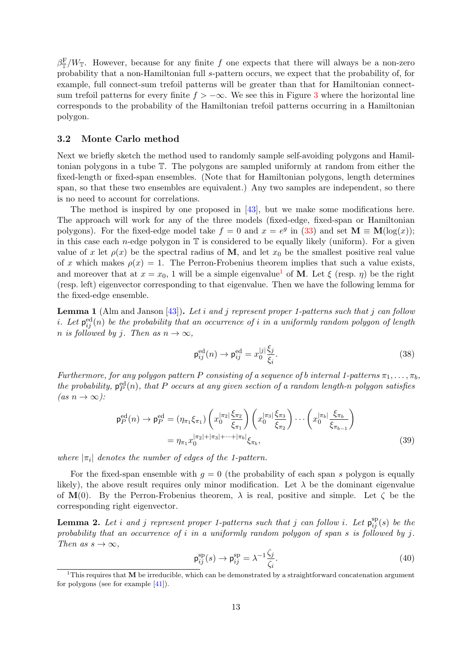$\beta_{\mathbb{T}}^{\mathcal{F}}/W_{\mathbb{T}}$ . However, because for any finite f one expects that there will always be a non-zero probability that a non-Hamiltonian full s-pattern occurs, we expect that the probability of, for example, full connect-sum trefoil patterns will be greater than that for Hamiltonian connectsum trefoil patterns for every finite  $f > -\infty$ . We see this in Figure [3](#page-8-0) where the horizontal line corresponds to the probability of the Hamiltonian trefoil patterns occurring in a Hamiltonian polygon.

#### <span id="page-12-1"></span>3.2 Monte Carlo method

Next we briefly sketch the method used to randomly sample self-avoiding polygons and Hamiltonian polygons in a tube T. The polygons are sampled uniformly at random from either the fixed-length or fixed-span ensembles. (Note that for Hamiltonian polygons, length determines span, so that these two ensembles are equivalent.) Any two samples are independent, so there is no need to account for correlations.

The method is inspired by one proposed in [\[43\]](#page-23-6), but we make some modifications here. The approach will work for any of the three models (fixed-edge, fixed-span or Hamiltonian polygons). For the fixed-edge model take  $f = 0$  and  $x = e^g$  in [\(33\)](#page-11-1) and set  $\mathbf{M} \equiv \mathbf{M}(\log(x));$ in this case each *n*-edge polygon in  $\mathbb T$  is considered to be equally likely (uniform). For a given value of x let  $\rho(x)$  be the spectral radius of M, and let  $x_0$  be the smallest positive real value of x which makes  $\rho(x) = 1$ . The Perron-Frobenius theorem implies that such a value exists, and moreover that at  $x = x_0$ , [1](#page-12-2) will be a simple eigenvalue<sup>1</sup> of **M**. Let  $\xi$  (resp.  $\eta$ ) be the right (resp. left) eigenvector corresponding to that eigenvalue. Then we have the following lemma for the fixed-edge ensemble.

<span id="page-12-0"></span>**Lemma 1** (Alm and Janson  $[43]$ ). Let i and j represent proper 1-patterns such that j can follow *i*. Let  $p_{ij}^{\text{ed}}(n)$  be the probability that an occurrence of *i* in a uniformly random polygon of length n is followed by j. Then as  $n \to \infty$ ,

$$
\mathsf{p}_{ij}^{\text{ed}}(n) \to \mathsf{p}_{ij}^{\text{ed}} = x_0^{|j|} \frac{\xi_j}{\xi_i}.\tag{38}
$$

Furthermore, for any polygon pattern P consisting of a sequence of b internal 1-patterns  $\pi_1, \ldots, \pi_b$ , the probability,  $p_P^{ed}(n)$ , that P occurs at any given section of a random length-n polygon satisfies  $(as n \rightarrow \infty):$ 

$$
\mathsf{p}_{P}^{\text{ed}}(n) \to \mathsf{p}_{P}^{\text{ed}} = (\eta_{\pi_{1}} \xi_{\pi_{1}}) \left( x_{0}^{|\pi_{2}|} \frac{\xi_{\pi_{2}}}{\xi_{\pi_{1}}} \right) \left( x_{0}^{|\pi_{3}|} \frac{\xi_{\pi_{3}}}{\xi_{\pi_{2}}} \right) \cdots \left( x_{0}^{|\pi_{b}|} \frac{\xi_{\pi_{b}}}{\xi_{\pi_{b-1}}} \right)
$$

$$
= \eta_{\pi_{1}} x_{0}^{|\pi_{2}| + |\pi_{3}| + \cdots + |\pi_{b}|} \xi_{\pi_{b}}, \tag{39}
$$

where  $|\pi_i|$  denotes the number of edges of the 1-pattern.

For the fixed-span ensemble with  $g = 0$  (the probability of each span s polygon is equally likely), the above result requires only minor modification. Let  $\lambda$  be the dominant eigenvalue of  $\mathbf{M}(0)$ . By the Perron-Frobenius theorem,  $\lambda$  is real, positive and simple. Let  $\zeta$  be the corresponding right eigenvector.

<span id="page-12-3"></span>**Lemma 2.** Let i and j represent proper 1-patterns such that j can follow i. Let  $p_{ij}^{\rm sp}(s)$  be the probability that an occurrence of i in a uniformly random polygon of span s is followed by j. Then as  $s \to \infty$ .

<span id="page-12-4"></span>
$$
\mathbf{p}_{ij}^{\text{sp}}(s) \to \mathbf{p}_{ij}^{\text{sp}} = \lambda^{-1} \frac{\zeta_j}{\zeta_i}.\tag{40}
$$

<span id="page-12-2"></span><sup>&</sup>lt;sup>1</sup>This requires that **M** be irreducible, which can be demonstrated by a straightforward concatenation argument for polygons (see for example [\[41\]](#page-23-4)).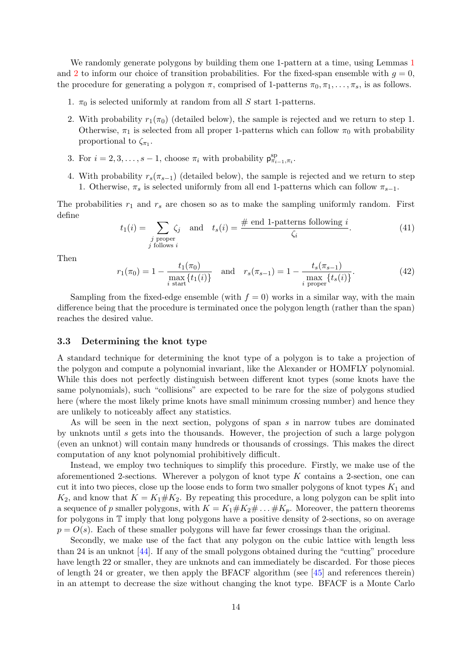We randomly generate polygons by building them one [1](#page-12-0)-pattern at a time, using Lemmas 1 and [2](#page-12-3) to inform our choice of transition probabilities. For the fixed-span ensemble with  $g = 0$ , the procedure for generating a polygon  $\pi$ , comprised of 1-patterns  $\pi_0, \pi_1, \ldots, \pi_s$ , is as follows.

- 1.  $\pi_0$  is selected uniformly at random from all S start 1-patterns.
- 2. With probability  $r_1(\pi_0)$  (detailed below), the sample is rejected and we return to step 1. Otherwise,  $\pi_1$  is selected from all proper 1-patterns which can follow  $\pi_0$  with probability proportional to  $\zeta_{\pi_1}$ .
- 3. For  $i = 2, 3, \ldots, s 1$ , choose  $\pi_i$  with probability  $p_{\pi_{i-1}, \pi_i}^{sp}$ .
- 4. With probability  $r_s(\pi_{s-1})$  (detailed below), the sample is rejected and we return to step 1. Otherwise,  $\pi_s$  is selected uniformly from all end 1-patterns which can follow  $\pi_{s-1}$ .

The probabilities  $r_1$  and  $r_s$  are chosen so as to make the sampling uniformly random. First define

$$
t_1(i) = \sum_{\substack{j \text{ proper} \\ j \text{ follows } i}} \zeta_j \quad \text{and} \quad t_s(i) = \frac{\text{\# end 1-patterns following } i}{\zeta_i}.
$$
 (41)

Then

$$
r_1(\pi_0) = 1 - \frac{t_1(\pi_0)}{\max_{i \text{ start}} \{t_1(i)\}} \quad \text{and} \quad r_s(\pi_{s-1}) = 1 - \frac{t_s(\pi_{s-1})}{\max_{i \text{ proper}} \{t_s(i)\}}.
$$
 (42)

Sampling from the fixed-edge ensemble (with  $f = 0$ ) works in a similar way, with the main difference being that the procedure is terminated once the polygon length (rather than the span) reaches the desired value.

#### 3.3 Determining the knot type

A standard technique for determining the knot type of a polygon is to take a projection of the polygon and compute a polynomial invariant, like the Alexander or HOMFLY polynomial. While this does not perfectly distinguish between different knot types (some knots have the same polynomials), such "collisions" are expected to be rare for the size of polygons studied here (where the most likely prime knots have small minimum crossing number) and hence they are unlikely to noticeably affect any statistics.

As will be seen in the next section, polygons of span  $s$  in narrow tubes are dominated by unknots until s gets into the thousands. However, the projection of such a large polygon (even an unknot) will contain many hundreds or thousands of crossings. This makes the direct computation of any knot polynomial prohibitively difficult.

Instead, we employ two techniques to simplify this procedure. Firstly, we make use of the aforementioned 2-sections. Wherever a polygon of knot type  $K$  contains a 2-section, one can cut it into two pieces, close up the loose ends to form two smaller polygons of knot types  $K_1$  and  $K_2$ , and know that  $K = K_1 \# K_2$ . By repeating this procedure, a long polygon can be split into a sequence of p smaller polygons, with  $K = K_1 \# K_2 \# \dots \# K_p$ . Moreover, the pattern theorems for polygons in T imply that long polygons have a positive density of 2-sections, so on average  $p = O(s)$ . Each of these smaller polygons will have far fewer crossings than the original.

Secondly, we make use of the fact that any polygon on the cubic lattice with length less than 24 is an unknot [\[44\]](#page-23-7). If any of the small polygons obtained during the "cutting" procedure have length 22 or smaller, they are unknots and can immediately be discarded. For those pieces of length 24 or greater, we then apply the BFACF algorithm (see  $[45]$  and references therein) in an attempt to decrease the size without changing the knot type. BFACF is a Monte Carlo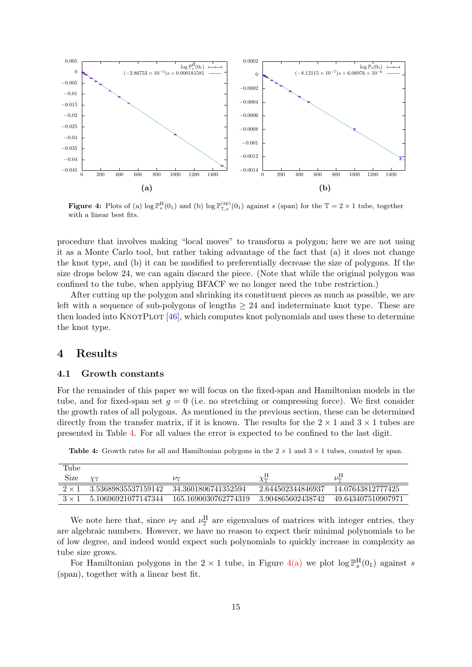<span id="page-14-3"></span>

**Figure 4:** Plots of (a)  $\log \mathbb{P}_{s}^{H}(0_1)$  and (b)  $\log \mathbb{P}_{\mathbb{T},s}^{(sp)}(0_1)$  against s (span) for the  $\mathbb{T} = 2 \times 1$  tube, together with a linear best fits.

procedure that involves making "local moves" to transform a polygon; here we are not using it as a Monte Carlo tool, but rather taking advantage of the fact that (a) it does not change the knot type, and (b) it can be modified to preferentially decrease the size of polygons. If the size drops below 24, we can again discard the piece. (Note that while the original polygon was confined to the tube, when applying BFACF we no longer need the tube restriction.)

After cutting up the polygon and shrinking its constituent pieces as much as possible, we are left with a sequence of sub-polygons of lengths  $\geq 24$  and indeterminate knot type. These are then loaded into KNOTPLOT  $[46]$ , which computes knot polynomials and uses these to determine the knot type.

## <span id="page-14-0"></span>4 Results

#### <span id="page-14-1"></span>4.1 Growth constants

For the remainder of this paper we will focus on the fixed-span and Hamiltonian models in the tube, and for fixed-span set  $q = 0$  (i.e. no stretching or compressing force). We first consider the growth rates of all polygons. As mentioned in the previous section, these can be determined directly from the transfer matrix, if it is known. The results for the  $2 \times 1$  and  $3 \times 1$  tubes are presented in Table [4.](#page-14-2) For all values the error is expected to be confined to the last digit.

| Tube         |                     |                      |                   |                    |
|--------------|---------------------|----------------------|-------------------|--------------------|
|              |                     |                      |                   |                    |
| Size         |                     | $\nu$ T              |                   | ル芸                 |
| $2 \times 1$ | 3.53689835537159142 | 34.3601806741352594  | 2.644502344846937 | 14.07643812777425  |
| $3 \times$   | 5.10696921077147344 | 165.1690030762774319 | 3.904865602438742 | 49.643407510907971 |

<span id="page-14-2"></span>**Table 4:** Growth rates for all and Hamiltonian polygons in the  $2 \times 1$  and  $3 \times 1$  tubes, counted by span.

We note here that, since  $\nu_{\mathbb{T}}$  and  $\nu_{\mathbb{T}}^{\text{H}}$  are eigenvalues of matrices with integer entries, they are algebraic numbers. However, we have no reason to expect their minimal polynomials to be of low degree, and indeed would expect such polynomials to quickly increase in complexity as tube size grows.

For Hamiltonian polygons in the  $2 \times 1$  tube, in Figure [4\(a\)](#page-14-3) we plot  $\log \mathbb{P}_s^H(0_1)$  against s (span), together with a linear best fit.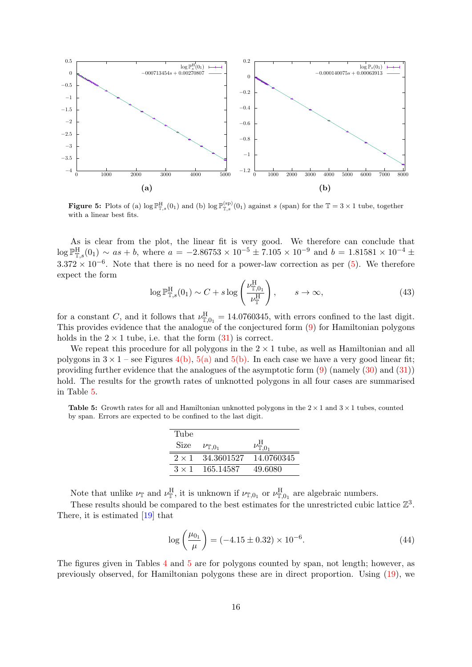<span id="page-15-0"></span>

**Figure 5:** Plots of (a)  $\log \mathbb{P}_{\mathbb{T},s}^{\text{H}}(0_1)$  and (b)  $\log \mathbb{P}_{\mathbb{T},s}^{(\text{sp})}(0_1)$  against s (span) for the  $\mathbb{T} = 3 \times 1$  tube, together with a linear best fits.

As is clear from the plot, the linear fit is very good. We therefore can conclude that  $\log \mathbb{P}_{\mathbb{T},s}^{\rm H}(0_1) \sim as + b$ , where  $a = -2.86753 \times 10^{-5} \pm 7.105 \times 10^{-9}$  and  $b = 1.81581 \times 10^{-4} \pm 7.105$  $3.372 \times 10^{-6}$ . Note that there is no need for a power-law correction as per [\(5\)](#page-1-4). We therefore expect the form

$$
\log \mathbb{P}^{\mathcal{H}}_{\mathbb{T},s}(0_1) \sim C + s \log \left( \frac{\nu_{\mathbb{T},0_1}^{\mathcal{H}}}{\nu_{\mathbb{T}}^{\mathcal{H}}}\right), \qquad s \to \infty,
$$
\n(43)

for a constant C, and it follows that  $\nu_{\mathbb{T},0_1}^{\text{H}} = 14.0760345$ , with errors confined to the last digit. This provides evidence that the analogue of the conjectured form [\(9\)](#page-2-2) for Hamiltonian polygons holds in the  $2 \times 1$  tube, i.e. that the form  $(31)$  is correct.

We repeat this procedure for all polygons in the  $2 \times 1$  tube, as well as Hamiltonian and all polygons in  $3 \times 1$  – see Figures [4\(b\),](#page-14-3) [5\(a\)](#page-15-0) and [5\(b\).](#page-15-0) In each case we have a very good linear fit; providing further evidence that the analogues of the asymptotic form  $(9)$  (namely  $(30)$  and  $(31)$ ) hold. The results for the growth rates of unknotted polygons in all four cases are summarised in Table [5.](#page-15-1)

<span id="page-15-1"></span>**Table 5:** Growth rates for all and Hamiltonian unknotted polygons in the  $2 \times 1$  and  $3 \times 1$  tubes, counted by span. Errors are expected to be confined to the last digit.

| Tube         |                         |            |
|--------------|-------------------------|------------|
| Size         | $\nu_{\mathbb{T},0_1}$  |            |
|              | $2 \times 1$ 34.3601527 | 14.0760345 |
| $3 \times 1$ | 165.14587               | 49.6080    |

Note that unlike  $\nu_{\mathbb{T}}$  and  $\nu_{\mathbb{T}}^{\text{H}}$ , it is unknown if  $\nu_{\mathbb{T},0_1}$  or  $\nu_{\mathbb{T},0_1}^{\text{H}}$  are algebraic numbers.

These results should be compared to the best estimates for the unrestricted cubic lattice  $\mathbb{Z}^3$ . There, it is estimated [\[19\]](#page-22-1) that

$$
\log\left(\frac{\mu_{0_1}}{\mu}\right) = (-4.15 \pm 0.32) \times 10^{-6}.\tag{44}
$$

The figures given in Tables [4](#page-14-2) and [5](#page-15-1) are for polygons counted by span, not length; however, as previously observed, for Hamiltonian polygons these are in direct proportion. Using [\(19\)](#page-5-1), we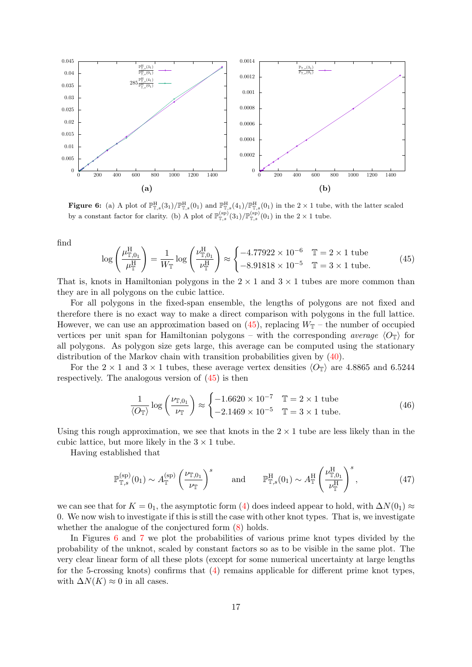<span id="page-16-2"></span>

**Figure 6:** (a) A plot of  $\mathbb{P}^{\text{H}}_{\mathbb{T},s}(3_1)/\mathbb{P}^{\text{H}}_{\mathbb{T},s}(0_1)$  and  $\mathbb{P}^{\text{H}}_{\mathbb{T},s}(4_1)/\mathbb{P}^{\text{H}}_{\mathbb{T},s}(0_1)$  in the  $2 \times 1$  tube, with the latter scaled by a constant factor for clarity. (b) A plot of  $\mathbb{P}_{\mathbb{T},s}^{(\text{sp})}(3_1)/\mathbb{P}_{\mathbb{T},s}^{(\text{sp})}(0_1)$  in the  $2 \times 1$  tube.

find

<span id="page-16-0"></span>
$$
\log\left(\frac{\mu_{\mathbb{T},0_1}^{\text{H}}}{\mu_{\mathbb{T}}^{\text{H}}}\right) = \frac{1}{W_{\mathbb{T}}}\log\left(\frac{\nu_{\mathbb{T},0_1}^{\text{H}}}{\nu_{\mathbb{T}}^{\text{H}}}\right) \approx \begin{cases} -4.77922 \times 10^{-6} & \mathbb{T} = 2 \times 1 \text{ tube} \\ -8.91818 \times 10^{-5} & \mathbb{T} = 3 \times 1 \text{ tube.} \end{cases}
$$
(45)

That is, knots in Hamiltonian polygons in the  $2 \times 1$  and  $3 \times 1$  tubes are more common than they are in all polygons on the cubic lattice.

For all polygons in the fixed-span ensemble, the lengths of polygons are not fixed and therefore there is no exact way to make a direct comparison with polygons in the full lattice. However, we can use an approximation based on  $(45)$ , replacing  $W_{\mathbb{T}}$  – the number of occupied vertices per unit span for Hamiltonian polygons – with the corresponding *average*  $\langle O_{\mathbb{T}} \rangle$  for all polygons. As polygon size gets large, this average can be computed using the stationary distribution of the Markov chain with transition probabilities given by [\(40\)](#page-12-4).

For the  $2 \times 1$  and  $3 \times 1$  tubes, these average vertex densities  $\langle O_{\mathbb{T}} \rangle$  are 4.8865 and 6.5244 respectively. The analogous version of [\(45\)](#page-16-0) is then

<span id="page-16-1"></span>
$$
\frac{1}{\langle O_{\mathbb{T}}\rangle} \log \left(\frac{\nu_{\mathbb{T},0_1}}{\nu_{\mathbb{T}}}\right) \approx \begin{cases} -1.6620 \times 10^{-7} & \mathbb{T} = 2 \times 1 \text{ tube} \\ -2.1469 \times 10^{-5} & \mathbb{T} = 3 \times 1 \text{ tube.} \end{cases}
$$
(46)

Using this rough approximation, we see that knots in the  $2 \times 1$  tube are less likely than in the cubic lattice, but more likely in the  $3 \times 1$  tube.

Having established that

$$
\mathbb{P}_{\mathbb{T},s}^{(\text{sp})}(0_1) \sim A_{\mathbb{T}}^{(\text{sp})} \left(\frac{\nu_{\mathbb{T},0_1}}{\nu_{\mathbb{T}}}\right)^s \quad \text{and} \quad \mathbb{P}_{\mathbb{T},s}^{\text{H}}(0_1) \sim A_{\mathbb{T}}^{\text{H}} \left(\frac{\nu_{\mathbb{T},0_1}^{\text{H}}}{\nu_{\mathbb{T}}^{\text{H}}}\right)^s, \tag{47}
$$

we can see that for  $K = 0<sub>1</sub>$ , the asymptotic form [\(4\)](#page-1-3) does indeed appear to hold, with  $\Delta N(0<sub>1</sub>) \approx$ 0. We now wish to investigate if this is still the case with other knot types. That is, we investigate whether the analogue of the conjectured form  $(8)$  holds.

In Figures [6](#page-16-2) and [7](#page-17-0) we plot the probabilities of various prime knot types divided by the probability of the unknot, scaled by constant factors so as to be visible in the same plot. The very clear linear form of all these plots (except for some numerical uncertainty at large lengths for the 5-crossing knots) confirms that [\(4\)](#page-1-3) remains applicable for different prime knot types, with  $\Delta N(K) \approx 0$  in all cases.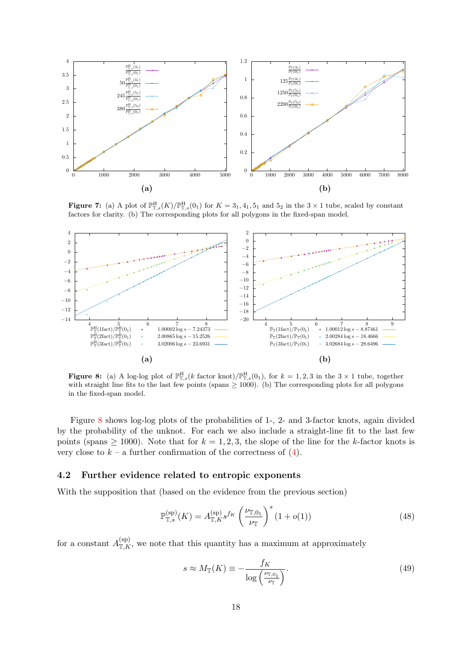<span id="page-17-0"></span>

**Figure 7:** (a) A plot of  $\mathbb{P}^{\text{H}}_{\mathbb{T},s}(K)/\mathbb{P}^{\text{H}}_{\mathbb{T},s}(0_1)$  for  $K = 3_1, 4_1, 5_1$  and  $5_2$  in the  $3 \times 1$  tube, scaled by constant factors for clarity. (b) The corresponding plots for all polygons in the fixed-span model.

<span id="page-17-1"></span>

**Figure 8:** (a) A log-log plot of  $\mathbb{P}^H_{\mathbb{T},s}(k \text{ factor knot})/\mathbb{P}^H_{\mathbb{T},s}(0_1)$ , for  $k = 1, 2, 3$  in the  $3 \times 1$  tube, together with straight line fits to the last few points (spans  $\geq 1000$ ). (b) The corresponding plots for all polygons in the fixed-span model.

Figure [8](#page-17-1) shows log-log plots of the probabilities of 1-, 2- and 3-factor knots, again divided by the probability of the unknot. For each we also include a straight-line fit to the last few points (spans  $\geq 1000$ ). Note that for  $k = 1, 2, 3$ , the slope of the line for the k-factor knots is very close to  $k - a$  further confirmation of the correctness of [\(4\)](#page-1-3).

#### 4.2 Further evidence related to entropic exponents

With the supposition that (based on the evidence from the previous section)

$$
\mathbb{P}_{\mathbb{T},s}^{(\text{sp})}(K) = A_{\mathbb{T},K}^{(\text{sp})} s^{f_K} \left(\frac{\nu_{\mathbb{T},0_1}}{\nu_{\mathbb{T}}}\right)^s (1+o(1)) \tag{48}
$$

for a constant  $A_{\mathbb{T},K}^{(\text{sp})}$ , we note that this quantity has a maximum at approximately

$$
s \approx M_{\mathbb{T}}(K) \equiv -\frac{f_K}{\log\left(\frac{\nu_{\mathbb{T},0_1}}{\nu_{\mathbb{T}}}\right)}.\tag{49}
$$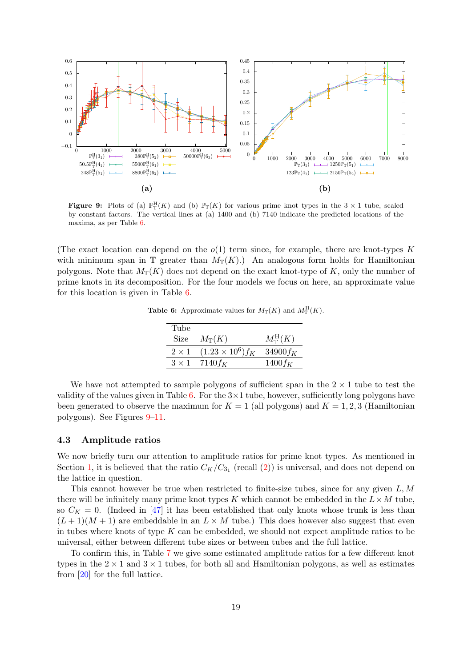<span id="page-18-1"></span>

**Figure 9:** Plots of (a)  $\mathbb{P}_{\mathbb{T}}^{\mathbb{H}}(K)$  and (b)  $\mathbb{P}_{\mathbb{T}}(K)$  for various prime knot types in the  $3 \times 1$  tube, scaled by constant factors. The vertical lines at (a) 1400 and (b) 7140 indicate the predicted locations of the maxima, as per Table [6.](#page-18-0)

<span id="page-18-0"></span>(The exact location can depend on the  $o(1)$  term since, for example, there are knot-types K with minimum span in T greater than  $M_{\mathbb{T}}(K)$ . An analogous form holds for Hamiltonian polygons. Note that  $M_{\mathbb{T}}(K)$  does not depend on the exact knot-type of K, only the number of prime knots in its decomposition. For the four models we focus on here, an approximate value for this location is given in Table [6.](#page-18-0)

**Table 6:** Approximate values for  $M_{\mathbb{T}}(K)$  and  $M_{\mathbb{T}}^{\mathbf{H}}(K)$ .

| Tube         |                          |                            |
|--------------|--------------------------|----------------------------|
| <b>Size</b>  | $M_{\mathbb{T}}(K)$      | $M^{\rm H}_{\mathbb T}(K)$ |
| $2 \times 1$ | $(1.23 \times 10^6) f_K$ | 34900 $f_K$                |
| $3 \times 1$ | $7140$ f <sub>K</sub>    | $1400 f_K$                 |

We have not attempted to sample polygons of sufficient span in the  $2 \times 1$  tube to test the validity of the values given in Table [6.](#page-18-0) For the  $3\times1$  tube, however, sufficiently long polygons have been generated to observe the maximum for  $K = 1$  (all polygons) and  $K = 1, 2, 3$  (Hamiltonian polygons). See Figures [9–](#page-18-1)[11.](#page-19-0)

#### 4.3 Amplitude ratios

We now briefly turn our attention to amplitude ratios for prime knot types. As mentioned in Section [1,](#page-0-0) it is believed that the ratio  $C_K/C_{3_1}$  (recall [\(2\)](#page-1-0)) is universal, and does not depend on the lattice in question.

This cannot however be true when restricted to finite-size tubes, since for any given  $L, M$ there will be infinitely many prime knot types K which cannot be embedded in the  $L \times M$  tube, so  $C_K = 0$ . (Indeed in [\[47\]](#page-23-10) it has been established that only knots whose trunk is less than  $(L+1)(M+1)$  are embeddable in an  $L \times M$  tube.) This does however also suggest that even in tubes where knots of type  $K$  can be embedded, we should not expect amplitude ratios to be universal, either between different tube sizes or between tubes and the full lattice.

To confirm this, in Table [7](#page-20-1) we give some estimated amplitude ratios for a few different knot types in the  $2 \times 1$  and  $3 \times 1$  tubes, for both all and Hamiltonian polygons, as well as estimates from [\[20\]](#page-22-2) for the full lattice.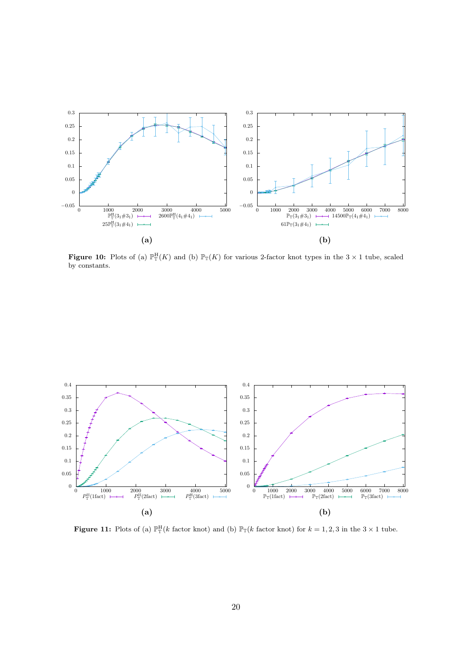

**Figure 10:** Plots of (a)  $\mathbb{P}_{\mathbb{T}}^{\mathbb{H}}(K)$  and (b)  $\mathbb{P}_{\mathbb{T}}(K)$  for various 2-factor knot types in the  $3 \times 1$  tube, scaled by constants.

<span id="page-19-0"></span>

**Figure 11:** Plots of (a)  $\mathbb{P}_{\mathbb{T}}^{\mathbf{H}}(k \text{ factor knot})$  and (b)  $\mathbb{P}_{\mathbb{T}}(k \text{ factor knot})$  for  $k = 1, 2, 3$  in the  $3 \times 1$  tube.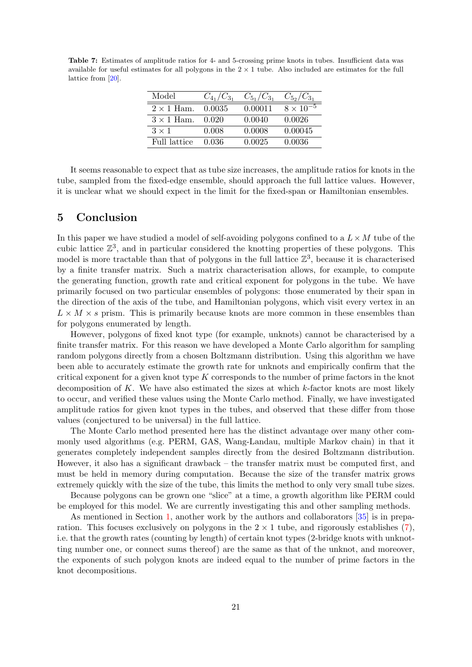<span id="page-20-1"></span>Table 7: Estimates of amplitude ratios for 4- and 5-crossing prime knots in tubes. Insufficient data was available for useful estimates for all polygons in the  $2 \times 1$  tube. Also included are estimates for the full lattice from [\[20\]](#page-22-2).

| Model             | $C_{4_1}/C_{3_1}$ | $C_{5_1}/C_{3_1}$ | $C_{5_2}/C_{3_1}$  |
|-------------------|-------------------|-------------------|--------------------|
| $2 \times 1$ Ham. | 0.0035            | 0.00011           | $8 \times 10^{-5}$ |
| $3 \times 1$ Ham. | 0.020             | 0.0040            | 0.0026             |
| $3 \times 1$      | 0.008             | 0.0008            | 0.00045            |
| Full lattice      | 0.036             | 0.0025            | 0.0036             |

It seems reasonable to expect that as tube size increases, the amplitude ratios for knots in the tube, sampled from the fixed-edge ensemble, should approach the full lattice values. However, it is unclear what we should expect in the limit for the fixed-span or Hamiltonian ensembles.

### <span id="page-20-0"></span>5 Conclusion

In this paper we have studied a model of self-avoiding polygons confined to a  $L \times M$  tube of the cubic lattice  $\mathbb{Z}^3$ , and in particular considered the knotting properties of these polygons. This model is more tractable than that of polygons in the full lattice  $\mathbb{Z}^3$ , because it is characterised by a finite transfer matrix. Such a matrix characterisation allows, for example, to compute the generating function, growth rate and critical exponent for polygons in the tube. We have primarily focused on two particular ensembles of polygons: those enumerated by their span in the direction of the axis of the tube, and Hamiltonian polygons, which visit every vertex in an  $L \times M \times s$  prism. This is primarily because knots are more common in these ensembles than for polygons enumerated by length.

However, polygons of fixed knot type (for example, unknots) cannot be characterised by a finite transfer matrix. For this reason we have developed a Monte Carlo algorithm for sampling random polygons directly from a chosen Boltzmann distribution. Using this algorithm we have been able to accurately estimate the growth rate for unknots and empirically confirm that the critical exponent for a given knot type  $K$  corresponds to the number of prime factors in the knot decomposition of K. We have also estimated the sizes at which  $k$ -factor knots are most likely to occur, and verified these values using the Monte Carlo method. Finally, we have investigated amplitude ratios for given knot types in the tubes, and observed that these differ from those values (conjectured to be universal) in the full lattice.

The Monte Carlo method presented here has the distinct advantage over many other commonly used algorithms (e.g. PERM, GAS, Wang-Landau, multiple Markov chain) in that it generates completely independent samples directly from the desired Boltzmann distribution. However, it also has a significant drawback – the transfer matrix must be computed first, and must be held in memory during computation. Because the size of the transfer matrix grows extremely quickly with the size of the tube, this limits the method to only very small tube sizes.

Because polygons can be grown one "slice" at a time, a growth algorithm like PERM could be employed for this model. We are currently investigating this and other sampling methods.

As mentioned in Section [1,](#page-0-0) another work by the authors and collaborators [\[35\]](#page-22-17) is in preparation. This focuses exclusively on polygons in the  $2 \times 1$  tube, and rigorously establishes [\(7\)](#page-2-0), i.e. that the growth rates (counting by length) of certain knot types (2-bridge knots with unknotting number one, or connect sums thereof) are the same as that of the unknot, and moreover, the exponents of such polygon knots are indeed equal to the number of prime factors in the knot decompositions.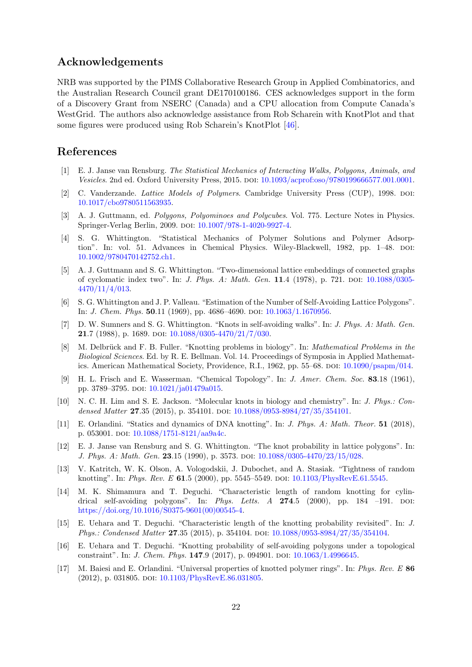### Acknowledgements

NRB was supported by the PIMS Collaborative Research Group in Applied Combinatorics, and the Australian Research Council grant DE170100186. CES acknowledges support in the form of a Discovery Grant from NSERC (Canada) and a CPU allocation from Compute Canada's WestGrid. The authors also acknowledge assistance from Rob Scharein with KnotPlot and that some figures were produced using Rob Scharein's KnotPlot [\[46\]](#page-23-9).

## References

- <span id="page-21-0"></span>[1] E. J. Janse van Rensburg. The Statistical Mechanics of Interacting Walks, Polygons, Animals, and Vesicles. 2nd ed. Oxford University Press, 2015. DOI: [10.1093/acprof:oso/9780199666577.001.0001.](http://dx.doi.org/10.1093/acprof:oso/9780199666577.001.0001)
- <span id="page-21-1"></span>[2] C. Vanderzande. Lattice Models of Polymers. Cambridge University Press (CUP), 1998. DOI: [10.1017/cbo9780511563935.](http://dx.doi.org/10.1017/cbo9780511563935)
- <span id="page-21-2"></span>[3] A. J. Guttmann, ed. Polygons, Polyominoes and Polycubes. Vol. 775. Lecture Notes in Physics. Springer-Verlag Berlin, 2009. poi: [10.1007/978-1-4020-9927-4.](http://dx.doi.org/10.1007/978-1-4020-9927-4)
- <span id="page-21-3"></span>[4] S. G. Whittington. "Statistical Mechanics of Polymer Solutions and Polymer Adsorption". In: vol. 51. Advances in Chemical Physics. Wiley-Blackwell, 1982, pp. 1–48. poi: [10.1002/9780470142752.ch1.](http://dx.doi.org/10.1002/9780470142752.ch1)
- <span id="page-21-4"></span>[5] A. J. Guttmann and S. G. Whittington. "Two-dimensional lattice embeddings of connected graphs of cyclomatic index two". In: *J. Phys. A: Math. Gen.* 11.4 (1978), p. 721. DOI: [10.1088/0305-](http://dx.doi.org/10.1088/0305-4470/11/4/013) [4470/11/4/013.](http://dx.doi.org/10.1088/0305-4470/11/4/013)
- <span id="page-21-5"></span>[6] S. G. Whittington and J. P. Valleau. "Estimation of the Number of Self-Avoiding Lattice Polygons". In: *J. Chem. Phys.* **50**.11 (1969), pp. 4686-4690. DOI:  $10.1063/1.1670956$ .
- <span id="page-21-6"></span>[7] D. W. Sumners and S. G. Whittington. "Knots in self-avoiding walks". In: J. Phys. A: Math. Gen. 21.7 (1988), p. 1689. doi:  $10.1088/0305-4470/21/7/030$ .
- <span id="page-21-7"></span>[8] M. Delbrück and F. B. Fuller. "Knotting problems in biology". In: *Mathematical Problems in the* Biological Sciences. Ed. by R. E. Bellman. Vol. 14. Proceedings of Symposia in Applied Mathemat-ics. American Mathematical Society, Providence, R.I., 1962, pp. 55–68. doi: [10.1090/psapm/014.](http://dx.doi.org/10.1090/psapm/014)
- <span id="page-21-8"></span>[9] H. L. Frisch and E. Wasserman. "Chemical Topology". In: J. Amer. Chem. Soc. 83.18 (1961), pp. 3789–3795. doi: [10.1021/ja01479a015.](http://dx.doi.org/10.1021/ja01479a015)
- <span id="page-21-9"></span>[10] N. C. H. Lim and S. E. Jackson. "Molecular knots in biology and chemistry". In: J. Phys.: Con-densed Matter 27.35 (2015), p. 354101. DOI: [10.1088/0953-8984/27/35/354101.](http://dx.doi.org/10.1088/0953-8984/27/35/354101)
- <span id="page-21-10"></span>[11] E. Orlandini. "Statics and dynamics of DNA knotting". In: J. Phys. A: Math. Theor. 51 (2018), p. 053001. doi:  $10.1088/1751-8121/aa9a4c$ .
- <span id="page-21-11"></span>[12] E. J. Janse van Rensburg and S. G. Whittington. "The knot probability in lattice polygons". In: J. Phys. A: Math. Gen. 23.15 (1990), p. 3573. doi: [10.1088/0305-4470/23/15/028.](http://dx.doi.org/10.1088/0305-4470/23/15/028)
- <span id="page-21-12"></span>[13] V. Katritch, W. K. Olson, A. Vologodskii, J. Dubochet, and A. Stasiak. "Tightness of random knotting". In: Phys. Rev. E 61.5 (2000), pp. 5545-5549. DOI:  $10.1103$ /PhysRevE.61.5545.
- <span id="page-21-13"></span>[14] M. K. Shimamura and T. Deguchi. "Characteristic length of random knotting for cylindrical self-avoiding polygons". In: Phys. Letts.  $A$  274.5 (2000), pp. 184 –191. DOI: [https://doi.org/10.1016/S0375-9601\(00\)00545-4.](http://dx.doi.org/https://doi.org/10.1016/S0375-9601(00)00545-4)
- <span id="page-21-14"></span>[15] E. Uehara and T. Deguchi. "Characteristic length of the knotting probability revisited". In: J. Phys.: Condensed Matter 27.35 (2015), p. 354104. DOI: [10.1088/0953-8984/27/35/354104.](http://dx.doi.org/10.1088/0953-8984/27/35/354104)
- <span id="page-21-15"></span>[16] E. Uehara and T. Deguchi. "Knotting probability of self-avoiding polygons under a topological constraint". In: *J. Chem. Phys.* **147.**9 (2017), p. 094901. doi: [10.1063/1.4996645.](http://dx.doi.org/10.1063/1.4996645)
- <span id="page-21-16"></span>[17] M. Baiesi and E. Orlandini. "Universal properties of knotted polymer rings". In: Phys. Rev. E 86 (2012), p. 031805. doi: [10.1103/PhysRevE.86.031805.](http://dx.doi.org/10.1103/PhysRevE.86.031805)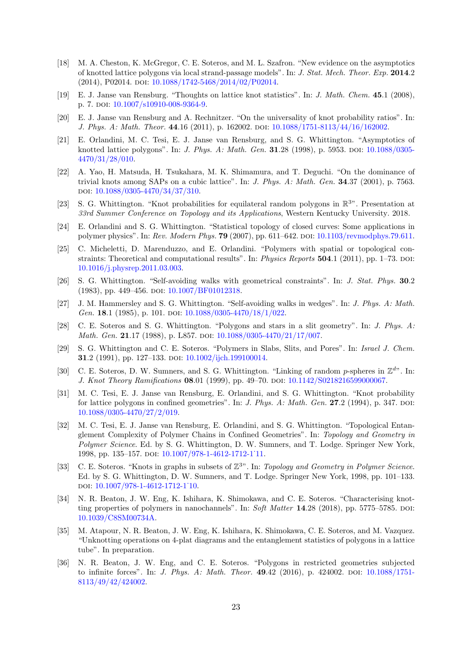- <span id="page-22-0"></span>[18] M. A. Cheston, K. McGregor, C. E. Soteros, and M. L. Szafron. "New evidence on the asymptotics of knotted lattice polygons via local strand-passage models". In: J. Stat. Mech. Theor. Exp. 2014.2 (2014), P02014. doi: [10.1088/1742-5468/2014/02/P02014.](http://dx.doi.org/10.1088/1742-5468/2014/02/P02014)
- <span id="page-22-1"></span>[19] E. J. Janse van Rensburg. "Thoughts on lattice knot statistics". In: J. Math. Chem. 45.1 (2008), p. 7. doi:  $10.1007 \text{/s} 10910 \text{-} 008 \text{-} 9364 \text{-} 9.$
- <span id="page-22-2"></span>[20] E. J. Janse van Rensburg and A. Rechnitzer. "On the universality of knot probability ratios". In: J. Phys. A: Math. Theor. 44.16 (2011), p. 162002. doi: [10.1088/1751-8113/44/16/162002.](http://dx.doi.org/10.1088/1751-8113/44/16/162002)
- <span id="page-22-3"></span>[21] E. Orlandini, M. C. Tesi, E. J. Janse van Rensburg, and S. G. Whittington. "Asymptotics of knotted lattice polygons". In: *J. Phys. A: Math. Gen.* **31**.28 (1998), p. 5953. DOI: [10.1088/0305-](http://dx.doi.org/10.1088/0305-4470/31/28/010) [4470/31/28/010.](http://dx.doi.org/10.1088/0305-4470/31/28/010)
- <span id="page-22-4"></span>[22] A. Yao, H. Matsuda, H. Tsukahara, M. K. Shimamura, and T. Deguchi. "On the dominance of trivial knots among SAPs on a cubic lattice". In: J. Phys. A: Math. Gen. 34.37 (2001), p. 7563. doi: [10.1088/0305-4470/34/37/310.](http://dx.doi.org/10.1088/0305-4470/34/37/310)
- <span id="page-22-5"></span>[23] S. G. Whittington. "Knot probabilities for equilateral random polygons in R <sup>3</sup>". Presentation at 33rd Summer Conference on Topology and its Applications, Western Kentucky University. 2018.
- <span id="page-22-6"></span>[24] E. Orlandini and S. G. Whittington. "Statistical topology of closed curves: Some applications in polymer physics". In: Rev. Modern Phys. 79 (2007), pp. 611–642. doi: [10.1103/revmodphys.79.611.](http://dx.doi.org/10.1103/revmodphys.79.611)
- <span id="page-22-7"></span>[25] C. Micheletti, D. Marenduzzo, and E. Orlandini. "Polymers with spatial or topological constraints: Theoretical and computational results". In: *Physics Reports*  $504.1$  (2011), pp. 1–73. doi: [10.1016/j.physrep.2011.03.003.](http://dx.doi.org/10.1016/j.physrep.2011.03.003)
- <span id="page-22-8"></span>[26] S. G. Whittington. "Self-avoiding walks with geometrical constraints". In: J. Stat. Phys. 30.2 (1983), pp. 449–456. doi: [10.1007/BF01012318.](http://dx.doi.org/10.1007/BF01012318)
- <span id="page-22-9"></span>[27] J. M. Hammersley and S. G. Whittington. "Self-avoiding walks in wedges". In: J. Phys. A: Math. Gen. 18.1 (1985), p. 101. doi:  $10.1088/0305-4470/18/1/022$ .
- <span id="page-22-10"></span>[28] C. E. Soteros and S. G. Whittington. "Polygons and stars in a slit geometry". In: J. Phys. A: Math. Gen. 21.17 (1988), p. L857. doi: [10.1088/0305-4470/21/17/007.](http://dx.doi.org/10.1088/0305-4470/21/17/007)
- <span id="page-22-11"></span>[29] S. G. Whittington and C. E. Soteros. "Polymers in Slabs, Slits, and Pores". In: Israel J. Chem. 31.2 (1991), pp. 127–133. doi: [10.1002/ijch.199100014.](http://dx.doi.org/10.1002/ijch.199100014)
- <span id="page-22-12"></span>[30] C. E. Soteros, D. W. Sumners, and S. G. Whittington. "Linking of random  $p$ -spheres in  $\mathbb{Z}^{d}$ ". In: J. Knot Theory Ramifications 08.01 (1999), pp. 49–70. doi: [10.1142/S0218216599000067.](http://dx.doi.org/10.1142/S0218216599000067)
- <span id="page-22-13"></span>[31] M. C. Tesi, E. J. Janse van Rensburg, E. Orlandini, and S. G. Whittington. "Knot probability for lattice polygons in confined geometries". In: *J. Phys. A: Math. Gen.*  $27.2$  (1994), p. 347. DOI: [10.1088/0305-4470/27/2/019.](http://dx.doi.org/10.1088/0305-4470/27/2/019)
- <span id="page-22-14"></span>[32] M. C. Tesi, E. J. Janse van Rensburg, E. Orlandini, and S. G. Whittington. "Topological Entanglement Complexity of Polymer Chains in Confined Geometries". In: Topology and Geometry in Polymer Science. Ed. by S. G. Whittington, D. W. Sumners, and T. Lodge. Springer New York, 1998, pp. 135–157. doi: [10.1007/978-1-4612-1712-1˙11.](http://dx.doi.org/10.1007/978-1-4612-1712-1_11)
- <span id="page-22-15"></span>[33] C. E. Soteros. "Knots in graphs in subsets of  $\mathbb{Z}^{3}$ ". In: Topology and Geometry in Polymer Science. Ed. by S. G. Whittington, D. W. Sumners, and T. Lodge. Springer New York, 1998, pp. 101–133. doi: [10.1007/978-1-4612-1712-1˙10.](http://dx.doi.org/10.1007/978-1-4612-1712-1_10)
- <span id="page-22-16"></span>[34] N. R. Beaton, J. W. Eng, K. Ishihara, K. Shimokawa, and C. E. Soteros. "Characterising knotting properties of polymers in nanochannels". In: Soft Matter 14.28 (2018), pp. 5775–5785. DOI: [10.1039/C8SM00734A.](http://dx.doi.org/10.1039/C8SM00734A)
- <span id="page-22-17"></span>[35] M. Atapour, N. R. Beaton, J. W. Eng, K. Ishihara, K. Shimokawa, C. E. Soteros, and M. Vazquez. "Unknotting operations on 4-plat diagrams and the entanglement statistics of polygons in a lattice tube". In preparation.
- <span id="page-22-18"></span>[36] N. R. Beaton, J. W. Eng, and C. E. Soteros. "Polygons in restricted geometries subjected to infinite forces". In: *J. Phys. A: Math. Theor.* **49.**42 (2016), p. 424002. DOI: [10.1088/1751-](http://dx.doi.org/10.1088/1751-8113/49/42/424002) [8113/49/42/424002.](http://dx.doi.org/10.1088/1751-8113/49/42/424002)